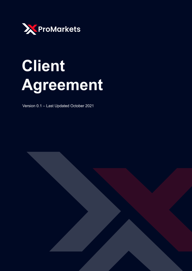

# **Client** Agreement

Version 0.1 - Last Updated October 2021

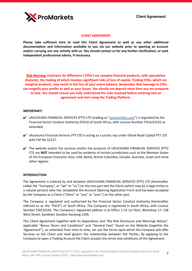

#### **CLIENT AGREEMENT**

**Please take sufficient time to read this Client Agreement as well as any other additional documentation and information available to you via our website prior to opening an account and/or carrying out any activity with us. You should contact us for any further clarification, or seek independent professional advice, if necessary.**

**Risk Warning: Contracts for difference ('CFDs') are complex financial products, with speculative character, the trading of which involves significant risks of loss of capital. Trading CFDs, which are marginal products, may result in the loss of your entire balance. Remember that leverage in CFDs can magnify your profits as well as your losses. You should not deposit more than you are prepared to lose. You should ensure you fully understand the risks involved before entering into an agreement and start using the Trading Platform.**

#### **IMPORTANT!**

- ✔ UKUCHUMA FINANCIAL SERVICES (PTY) LTD (trading as ["xpromarkets.com](https://xpromarkets.com/)") is regulated by the Financial Sector Conduct Authority (FSCA) of South Africa, with License Number FSCA/32535 as amended.
- ✔ Ukuchuma Financial Services PTY LTD is acting as a juristic rep under Elland Road Capital PTY LTD with FSP No 52127.
- $\blacktriangledown$  The website and/or the services and/or the products of UKUCHUMA FINANCIAL SERVICES (PTY) LTD are **NOT** intended to be used by residents of certain jurisdictions such as the Member States of the European Economic Area, USA, Belize, British Columbia, Canada, Australia, Israel and some other regions.

# **INTRODUCTION**

The Agreement is entered by and between UKUCHUMA FINANCIAL SERVICES (PTY) LTD (hereinafter called the "Company", or "we" or "us") on the one part and the Client (which may be a legal entity or a natural person) who has completed the Account Opening Application Form and has been accepted by the Company as a Client ("Client" or "you" or "your") on the other part.

The Company is regulated and authorised by the Financial Sector Conduct Authority (hereinafter referred to as the "FSCA") of South Africa. The Company is registered in South Africa, with License Number FSP/32535. The Company's registered address is at Office 1-14 1st floor, Workshop 17, 138 West Street, Sandown Sandton Gauteng 2196.

This Client Agreement together with its Appendices and "the Risk Disclosure and Warnings Notice", applicable "Bonus Terms and Conditions" and "General Fees" found on the Website (together the "Agreement"), as amended from time to time, set out the terms upon which the Company will offer Services to the Client and shall govern the relationship between the Parties. By applying to the Company to open a Trading Account the Client accepts the terms and conditions of the Agreement.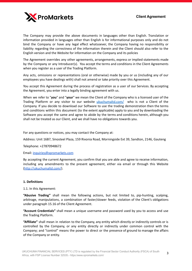

The Company may provide the above documents in languages other than English. Translation or information provided in languages other than English is for informational purposes only and do not bind the Company or have any legal effect whatsoever, the Company having no responsibility or liability regarding the correctness of the information therein and the Client should also refer to the English version and the Website for information on the Company and its policies

The Agreement overrides any other agreements, arrangements, express or implied statements made by the Company or any Introducer(s). You accept the terms and conditions in the Client Agreements when you register as a user of the Trading Platform.

Any acts, omissions or representations (oral or otherwise) made by you or us (including any of our employees you have dealings with) shall not amend or take priority over this Agreement.

You accept this Agreement during the process of registration as a user of our Services. By accepting the Agreement, you enter into a legally binding agreement with us.

When we refer to "**you**" and "**your**" we mean the Client of the Company who is a licensed user of the Trading Platform or any visitor to our website *[ukuchumaltd.com/](http://ukuchumaltd.com/)* who is not a Client of the Company. If you decide to download our Software to use the trading demonstration then the terms and conditions within this document (to the extent applicable) apply to you and by downloading the Software you accept the same and agree to abide by the terms and conditions herein, although you shall not be treated as our Client, and we shall have no obligations towards you.

For any questions or notices, you may contact the Company at:

Address: Unit 16B7, Sinosteel Plaza, 159 Rivonia Road, Morningside Ext 39, Sandton, 2146, Gauteng

Telephone: +27870948672

Email: [inquiries@xpromarkets.com](mailto:inquiries@xpromarkets.com)

By accepting the current Agreement, you confirm that you are able and agree to receive information, including any amendments to the present agreement, either via email or through this Website [\(http://ukuchumaltd.com/](http://ukuchumaltd.com/)).

# **1. Definitions**

1.1. In this Agreement:

**"Abusive Trading"** shall mean the following actions, but not limited to, pip-hunting, scalping, arbitrage, manipulations, a combination of faster/slower feeds, violation of the Client's obligations under paragraph 15.16 of the Client Agreement.

**"Account Credentials"** shall mean a unique username and password used by you to access and use the Trading Platform.

**"Affiliate"** shall mean in relation to the Company, any entity which directly or indirectly controls or is controlled by the Company, or any entity directly or indirectly under common control with the Company; and "control" means the power to direct or the presence of ground to manage the affairs of the Company or entity.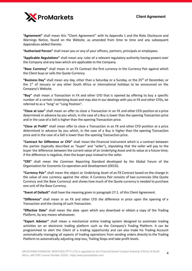

**"Agreement"** shall mean this "Client Agreement" with its Appendix 1 and the Risks Disclosure and Warnings Notice, found on the Website, as amended from time to time and any subsequent Appendices added thereto.

**"Authorized Person"** shall mean you or any of your officers, partners, principals or employees.

**"Applicable Regulations"** shall mean any rules of a relevant regulatory authority having powers over the Company and any laws which are applicable to the Company.

**"Base Currency"** shall mean in an FX Contract the first currency in the Currency Pair against which the Client buys or sells the Quote Currency.

"Business Day" shall mean any day, other than a Saturday or a Sunday, or the 25<sup>th</sup> of December, or the  $1<sup>st</sup>$  of January or any other South Africa or international holidays to be announced on the Company's Website.

**"Buy"** shall mean a Transaction in FX and other CFD that is opened by offering to buy a specific number of a certain Underlying Asset and may also in our dealings with you in FX and other CFDs, be referred to as a "long" or "Long Position".

**"Close at Loss"** shall mean an offer to close a Transaction in an FX and other CFD position at a price determined in advance by you which, in the case of a Buy is lower than the opening Transaction price and in the case of a Sell is higher than the opening Transaction price.

**"Close at Profit"** shall mean offer to close a Transaction in an FX and other CFD position at a price determined in advance by you which, in the case of a Buy is higher than the opening Transaction price and in the case of a Sell is lower than the opening Transaction price.

**"Contract for Difference or CFD"** shall mean the Financial Instrument which is a contract between the parties (typically described as "buyer" and "seller"), stipulating that the seller will pay to the buyer the difference between the current value of an Underlying Asset and its value at a future time; if the difference is negative, then the buyer pays instead to the seller.

**"CRS"** shall mean the Common Reporting Standard developed by the Global Forum of the Organisation for Economic Co-operation and Development (OECD).

**"Currency Pair"** shall mean the object or Underlying Asset of an FX Contract based on the change in the value of one currency against the other. A Currency Pair consists of two currencies (the Quote Currency and the Base Currency) and shows how much of the Quote currency is needed to purchase one unit of the Base Currency.

**"Event of Default"** shall have the meaning given in paragraph 27.1. of this Client Agreement.

**"Difference"** shall mean in an FX and other CFD the difference in price upon the opening of a Transaction and the closing of such Transaction.

**"Effective Date"** shall mean the date upon which you download or obtain a copy of the Trading Platform, by any means whatsoever.

**"Expert Advisor"** shall mean a mechanical online trading system designed to automate trading activities on an electronic trading platform such as the Company's Trading Platform. It can be programmed to alert the Client of a trading opportunity and can also trade his Trading Account automatically managing all aspects of trading operations from sending orders directly to the Trading Platform to automatically adjusting stop loss, Trailing Stops and take profit levels.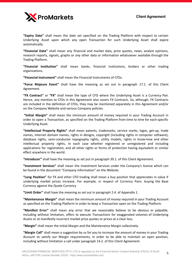

**"Expiry Date"** shall mean the date set specified on the Trading Platform with respect to certain Underlying Asset upon which any open Transaction for such Underlying Asset shall expire automatically.

**"Financial Data"** shall mean any financial and market data, price quotes, news, analyst opinions, research reports, signals, graphs or any other data or information whatsoever available through the Trading Platform.

**"Financial Institution"** shall mean banks, financial institutions, brokers or other trading organizations.

**"Financial Instrument"** shall mean the Financial Instruments of CFDs.

**"Force Majeure Event"** shall have the meaning as set out in paragraph 17.1. of this Client Agreement.

**"FX Contract"** or **"FX"** shall mean the type of CFD where the Underlying Asset is a Currency Pair. Hence, any mention to CFDs in this Agreement also covers FX Contracts. So, although, FX Contracts are included in the definition of CFDs, they may be mentioned separately in this Agreement and/or on the Company Website and various Company policies.

**"Initial Margin"** shall mean the minimum amount of money required in your Trading Account in order to open a Transaction, as specified on the Trading Platform from time to time for each specific Underlying Asset.

**"Intellectual Property Rights"** shall mean patents, trademarks, service marks, logos, get-up, trade names, internet domain names, rights in designs, copyright (including rights in computer software), database rights, semi-conductor topography rights, utility models, rights in know-how and other intellectual property rights, in each case whether registered or unregistered and including applications for registration, and all other rights or forms of protection having equivalent or similar effect anywhere in the world.

**"Introducer"** shall have the meaning as set put in paragraph 39.1. of this Client Agreement.

**"Investment Services"** shall mean the Investment Services under the Company's license which can be found in the document "Company Information" on the Website.

**"Long Position"** for FX and other CFD trading shall mean a buy position that appreciates in value if underlying market prices increase. For example, in respect of Currency Pairs: buying the Base Currency against the Quote Currency

**"Limit Order"** shall have the meaning as set out in paragraph 2.4. of Appendix 1.

**"Maintenance Margin"** shall mean the minimum amount of money required in your Trading Account as specified on the Trading Platform in order to keep a Transaction open on the Trading Platform.

**"Manifest Error"** shall mean any error that we reasonably believe to be obvious or palpable, including without limitation, offers to execute Transactions for exaggerated volumes of Underlying Assets or at manifestly incorrect market price quotes or prices at a clear loss.

**"Margin"** shall mean the Initial Margin and the Maintenance Margin collectively.

**"Margin Call"** shall mean a suggestion by us for you to increase the amount of money in your Trading Account to satisfy our Margin requirements, in order to be able to maintain an open position, including without limitation a call under paragraph 14.2. of this Client Agreement.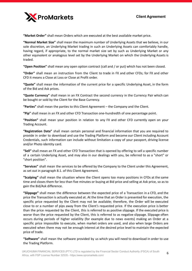

**"Market Order"** shall mean Orders which are executed at the best available market price.

**"Normal Market Size"** shall mean the maximum number of Underlying Assets that we believe, in our sole discretion, an Underlying Market trading in such an Underlying Assets can comfortably handle, having regard, if appropriate, to the normal market size set by such as Underlying Market or any other equivalent or analogous level set by the Underlying Market on which the Underlying Assets is traded.

**"Open Position"** shall mean any open option contract (call and / or put) which has not been closed.

**"Order"** shall mean an instruction from the Client to trade in FX and other CFDs; for FX and other CFD it means a Close at Loss or Close at Profit order.

**"Quote"** shall mean the information of the current price for a specific Underlying Asset, in the form of the Bid and Ask prices.

**"Quote Currency"** shall mean in an FX Contract the second currency in the Currency Pair which can be bought or sold by the Client for the Base Currency.

**"Parties"** shall mean the parties to this Client Agreement – the Company and the Client.

**"Pip"** shall mean in an FX and other CFD Transaction one-hundredth of one percentage point.

**"Position"** shall mean your position in relation to any FX and other CFD currently open on your Trading Account.

**"Registration Data"** shall mean certain personal and financial information that you are required to provide in order to download and use the Trading Platform and become our Client including Account Credentials, such information can include without limitation a copy of your passport, driving license and/or Photo identity card.

**"Sell"** shall mean an FX and other CFD Transaction that is opened by offering to sell a specific number of a certain Underlying Asset, and may also in our dealings with you, be referred to as a "short" or "short position".

**"Services"** shall mean the services to be offered by the Company to the Client under this Agreement, as set out in paragraph 8.1. of this Client Agreement.

**"Scalping"** shall mean the situation where the Client opens too many positions in CFDs at the same time and closes them for less than five minutes or buying at Bid price and selling at Ask price, so as to gain the Bid/Ask difference.

**"Slippage"** shall mean the difference between the expected price of a Transaction in a CFD, and the price the Transaction is actually executed at. At the time that an Order is presented for execution, the specific price requested by the Client may not be available; therefore, the Order will be executed close to or a number of pips away from the Client's requested price. If the execution price is better than the price requested by the Client, this is referred to as positive slippage. If the executed price is worse than the price requested by the Client, this is referred to as negative slippage. Slippage often occurs during periods of higher volatility (for example due to news events) making an Order at a specific price impossible to execute, when market orders are used, and also when large Orders are executed when there may not be enough interest at the desired price level to maintain the expected price of trade.

**"Software"** shall mean the software provided by us which you will need to download in order to use the Trading Platform.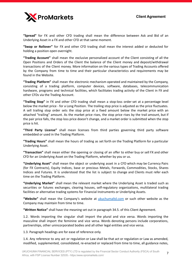

**"Spread"** for FX and other CFD trading shall mean the difference between Ask and Bid of an Underlying Asset in a FX and other CFD at that same moment.

**"Swap or Rollover"** for FX and other CFD trading shall mean the interest added or deducted for holding a position open overnight.

**"Trading Account"** shall mean the exclusive personalized account of the Client consisting of all the Open Positions and Orders of the Client the balance of the Client money and deposit/withdrawal transactions of the Client money. More information on the various types of Trading Accounts offered by the Company from time to time and their particular characteristics and requirements may be found in the Website.

**"Trading Platform"** shall mean the electronic mechanism operated and maintained by the Company, consisting of a trading platform, computer devices, software, databases, telecommunication hardware, programs and technical facilities, which facilitates trading activity of the Client in FX and other CFDs via the Trading Account.

**"Trailing Stop"** in FX and other CFD trading shall mean a stop-loss order set at a percentage level below the market price - for a Long Position. The trailing stop price is adjusted as the price fluctuates. A sell trailing stop order sets the stop price at a fixed amount below the market price with an attached "trailing" amount. As the market price rises, the stop price rises by the trail amount, but if the pair price falls, the stop loss price doesn't change, and a market order is submitted when the stop price is hit.

**"Third Party License"** shall mean licenses from third parties governing third party software embedded or used in the Trading Platform.

**"Trading Hours"** shall mean the hours of trading as set forth on the Trading Platform for a particular Underlying Asset.

**"Transaction"** shall mean either the opening or closing of an offer to either buy or sell FX and other CFD for an Underlying Asset on the Trading Platform, whether by you or us.

**"Underlying Asset"** shall mean the object or underlying asset in a CFD which may be Currency Pairs (for FX Contracts), Equity Indices, base or precious Metals, Forwards, Commodities, Stocks, Shares Indices and Futures. It is understood that the list is subject to change and Clients must refer each time on the Trading Platform.

**"Underlying Market"** shall mean the relevant market where the Underlying Asset is traded such as securities or futures exchanges, clearing houses, self-regulatory organizations, multilateral trading facilities or alternative trading systems for Financial Instruments or Underlying Assets.

**"Website"** shall mean the Company's website at [ukuchumaltd.com](http://ukuchumaltd.com) or such other website as the Company may maintain from time to time.

**"Written Notice"** shall have the meaning set out in paragraph 34.5. of this Client Agreement.

1.2. Words importing the singular shall import the plural and vice versa. Words importing the masculine shall import the feminine and vice versa. Words denoting persons include corporations, partnerships, other unincorporated bodies and all other legal entities and vice versa.

1.3. Paragraph headings are for ease of reference only.

1.4. Any reference to any act or regulation or Law shall be that act or regulation or Law as amended, modified, supplemented, consolidated, re-enacted or replaced from time to time, all guidance notes,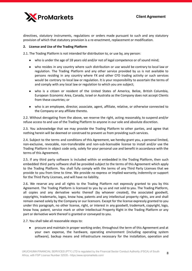

directives, statutory instruments, regulations or orders made pursuant to such and any statutory provision of which that statutory provision is a re-enactment, replacement or modification.

# **2. License and Use of the Trading Platform**

2.1. The Trading Platform is not intended for distribution to, or use by, any person:

- who is under the age of 18 years old and/or not of legal competence or of sound mind;
- who resides in any country where such distribution or use would be contrary to local law or regulation. The Trading Platform and any other service provided by us is not available to persons residing in any country where FX and other CFD trading activity or such services would be contrary to local law or regulation. It is your responsibility to ascertain the terms of and comply with any local law or regulation to which you are subject;
- who is a citizen or resident of the United States of America, Belize, British Columbia, European Economic Area, Canada, Israel or Australia as the Company does not accept Clients from these countries; or
- who is an employee, director, associate, agent, affiliate, relative, or otherwise connected to the Company or any affiliate thereto.

2.2. Without derogating from the above, we reserve the right, acting reasonably, to suspend and/or refuse access to and use of the Trading Platform to anyone in our sole and absolute discretion.

2.3. You acknowledge that we may provide the Trading Platform to other parties, and agree that nothing herein will be deemed or construed to prevent us from providing such services.

2.4. Subject to the terms and conditions of this Agreement, we hereby grant you, a personal limited, non-exclusive, revocable, non-transferable and non-sub-licensable license to install and/or use the Trading Platform in object code only, solely for your personal use and benefit in accordance with the terms of this Agreement.

2.5. If any third party software is included within or embedded in the Trading Platform, then such embedded third party software shall be provided subject to the terms of this Agreement which apply to the Trading Platform. You shall fully comply with the terms of any Third Party Licenses that we provide to you from time to time. We provide no express or implied warranty, indemnity or support for the Third Party Licenses, and will have no liability.

2.6. We reserve any and all rights to the Trading Platform not expressly granted to you by this Agreement. The Trading Platform is licensed to you by us and not sold to you. The Trading Platform, all copies and any derivative works thereof (by whoever created), the associated goodwill, copyrights, trademarks, logos, know how, patents and any intellectual property rights, are and shall remain owned solely by the Company or our licensors. Except for the license expressly granted to you under this paragraph, no other license, right, or interest in any goodwill, trademark, copyright, logo, know how, patent, service mark or other Intellectual Property Right in the Trading Platform or any part or derivative work thereof is granted or conveyed to you.

2.7. You shall take all reasonable steps to:

● procure and maintain in proper working order, throughout the term of this Agreement and at your own expense, the hardware, operating environment (including operating system software), backup means and infrastructure necessary for the installation, operation and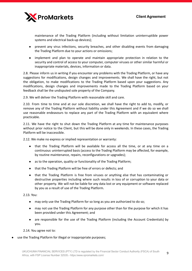9



maintenance of the Trading Platform (including without limitation uninterruptible power systems and electrical back-up devices);

- prevent any virus infections, security breaches, and other disabling events from damaging the Trading Platform due to your actions or omissions;
- implement and plan to operate and maintain appropriate protection in relation to the security and control of access to your computer, computer viruses or other similar harmful or inappropriate materials, devices, information or data.

2.8. Please inform us in writing if you encounter any problems with the Trading Platform, or have any suggestions for modifications, design changes and improvements. We shall have the right, but not the obligation, to make modifications to the Trading Platform based upon your suggestions. Any modifications, design changes and improvements made to the Trading Platform based on your feedback shall be the undisputed sole property of the Company.

2.9. We will deliver the Trading Platform with reasonable skill and care.

2.10. From time to time and at our sole discretion, we shall have the right to add to, modify, or remove any of the Trading Platform without liability under this Agreement and if we do so we shall use reasonable endeavours to replace any part of the Trading Platform with an equivalent where practicable.

2.11. We have the right to shut down the Trading Platform at any time for maintenance purposes without prior notice to the Client, but this will be done only in weekends. In these cases, the Trading Platform will be inaccessible.

2.12. We make no express or implied representation or warranty:

- that the Trading Platform will be available for access all the time, or at any time on a continuous uninterrupted basis (access to the Trading Platform may be affected, for example, by routine maintenance, repairs, reconfigurations or upgrades);
- as to the operation, quality or functionality of the Trading Platform;
- that the Trading Platform will be free of errors or defects; and
- that the Trading Platform is free from viruses or anything else that has contaminating or destructive properties including where such results in loss of or corruption to your data or other property. We will not be liable for any data lost or any equipment or software replaced by you as a result of use of the Trading Platform.

2.13. You:

- may only use the Trading Platform for so long as you are authorized to do so;
- may not use the Trading Platform for any purpose other than for the purpose for which it has been provided under this Agreement; and
- are responsible for the use of the Trading Platform (including the Account Credentials) by you.

2.14. You agree not to:

use the Trading Platform for illegal or inappropriate purposes;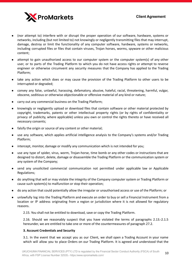- (nor attempt to) interfere with or disrupt the proper operation of our software, hardware, systems or networks, including (but not limited to) not knowingly or negligently transmitting files that may interrupt, damage, destroy or limit the functionality of any computer software, hardware, systems or networks, including corrupted files or files that contain viruses, Trojan horses, worms, spyware or other malicious content;
- attempt to gain unauthorized access to our computer system or the computer system(s) of any other user, or to parts of the Trading Platform to which you do not have access rights or attempt to reverse engineer or otherwise circumvent any security measures that the Company has applied to the Trading Platform;
- take any action which does or may cause the provision of the Trading Platform to other users to be interrupted or degraded;
- convey any false, unlawful, harassing, defamatory, abusive, hateful, racial, threatening, harmful, vulgar, obscene, seditious or otherwise objectionable or offensive material of any kind or nature;
- carry out any commercial business on the Trading Platform;
- knowingly or negligently upload or download files that contain software or other material protected by copyright, trademarks, patents or other intellectual property rights (or by rights of confidentiality or privacy of publicity, where applicable) unless you own or control the rights thereto or have received all necessary consents;
- falsify the origin or source of any content or other material;
- use any software, which applies artificial intelligence analysis to the Company's systems and/or Trading Platform;
- intercept, monitor, damage or modify any communication which is not intended for you;
- use any type of spider, virus, worm, Trojan-horse, time bomb or any other codes or instructions that are designed to distort, delete, damage or disassemble the Trading Platform or the communication system or any system of the Company;
- send any unsolicited commercial communication not permitted under applicable law or Applicable Regulations;
- do anything that will or may violate the integrity of the Company computer system or Trading Platform or cause such system(s) to malfunction or stop their operation;
- do any action that could potentially allow the irregular or unauthorised access or use of the Platform; or
- unlawfully log into the Trading Platform and execute an order to buy or sell a Financial Instrument from a location or IP address originating from a region or jurisdiction where it is not allowed for regulatory reasons.
	- 2.15. You shall not be entitled to download, save or copy the Trading Platform.

2.16. Should we reasonably suspect that you have violated the terms of paragraphs 2.13.-2.1.5 hereunder, we are entitled to take one or more of the countermeasures of paragraph 27.2.

# **3. Account Credentials and Security**

3.1. In the event that we accept you as our Client, we shall open a Trading Account in your name which will allow you to place Orders on our Trading Platform. It is agreed and understood that the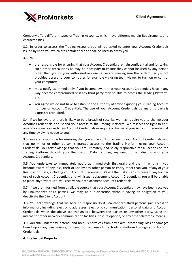

Company offers different types of Trading Accounts, which have different margin Requirements and characteristics.

3.2. In order to access the Trading Account, you will be asked to enter your Account Credentials issued by us to you which are confidential and shall be used solely by you.

3.3. You:

- are responsible for ensuring that your Account Credentials remain confidential and for taking such other precautions as may be necessary to ensure they cannot be used by any person other than you or your authorised representative and making sure that a third party is not provided access to your computer for example via using team viewer to turn on or control your computer;
- must notify us immediately if you become aware that your Account Credentials have in any way become compromised or if any third party may be able to access the Trading Platform; and
- You agree we do not have to establish the authority of anyone quoting your Trading Account number or Account Credentials. The use of your Account Credentials by any third party is expressly prohibited.

3.4. If we believe that there is likely to be a breach of security, we may require you to change your Account Credentials or suspend your access to the Trading Platform. We reserve the right to edit, amend or issue you with new Account Credentials or require a change of your Account Credentials at any time by giving notice to you.

3.5. You are responsible for ensuring that you alone control access to your Account Credentials, and that no minor or other person is granted access to the Trading Platform using your Account Credentials. You acknowledge that you are ultimately and solely responsible for all actions on the Trading Platform through your Registration Data including any unauthorized disclosure of your Account Credentials.

3.6. You undertake to immediately notify us immediately first orally and then in writing if you become aware of any loss, theft or use by any other person or entity other than you, of any of your Registration Data, including your Account Credentials. We will then take steps to prevent any further use of such Account Credentials and will issue replacement Account Credentials. You will be unable to place any Orders until you receive your replacement Account Credentials.

3.7. If we are informed from a reliable source that your Account Credentials may have been received by unauthorized third parties, we may, at our discretion without having an obligation to you, deactivate the Client Account.

3.8. You acknowledge that we bear no responsibility if unauthorized third persons gain access to information, including electronic addresses, electronic communication, personal data and Account Credentials when the above are transmitted between the parties or any other party, using the internet or other network communication facilities, post, telephone, or any other electronic means.

3.9. You shall indemnify, defend, and hold us harmless from any claim, proceeding, loss or damages based upon any use, misuse, or unauthorized use of the Trading Platform through your Account Credentials.

#### **4. Intellectual Property**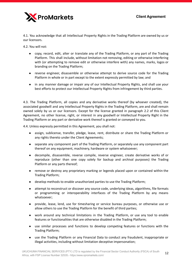

4.1. You acknowledge that all Intellectual Property Rights in the Trading Platform are owned by us or our licensors.

4.2. You will not:

- copy, record, edit, alter or translate any of the Trading Platform, or any part of the Trading Platform. This shall include, without limitation not removing, editing or otherwise interfering with (or attempting to remove edit or otherwise interfere with) any names, marks, logos or branding on the Trading Platform;
- reverse engineer, disassemble or otherwise attempt to derive source code for the Trading Platform in whole or in part except to the extent expressly permitted by law; and
- in any manner damage or impair any of our Intellectual Property Rights, and shall use your best efforts to protect our Intellectual Property Rights from infringement by third parties.

4.3. The Trading Platform, all copies and any derivative works thereof (by whoever created), the associated goodwill and any Intellectual Property Rights in the Trading Platform, are and shall remain owned solely by us or our licensors. Except for the license granted in paragraph 2.2 of this Client Agreement, no other license, right, or interest in any goodwill or Intellectual Property Right in the Trading Platform or any part or derivative work thereof is granted or conveyed to you.

4.4. Unless expressly permitted in this Agreement, you shall not:

- assign, sublicense, transfer, pledge, lease, rent, distribute or share the Trading Platform or any rights thereto under the Client Agreements;
- separate any component part of the Trading Platform, or separately use any component part thereof on any equipment, machinery, hardware or system whatsoever;
- decompile, disassemble, reverse compile, reverse engineer, create derivative works of or reproduce (other than one copy solely for backup and archival purposes) the Trading Platform or any parts thereof;
- remove or destroy any proprietary marking or legends placed upon or contained within the Trading Platform;
- develop methods to enable unauthorized parties to use the Trading Platform;
- attempt to reconstruct or discover any source code, underlying ideas, algorithms, file formats or programming or interoperability interfaces of the Trading Platform by any means whatsoever;
- provide, lease, lend, use for timesharing or service bureau purposes, or otherwise use or allow others to use the Trading Platform for the benefit of third parties;
- work around any technical limitations in the Trading Platform, or use any tool to enable features or functionalities that are otherwise disabled in the Trading Platform;
- use similar processes and functions to develop competing features or functions with the Trading Platform;
- use the Trading Platform or any Financial Data to conduct any fraudulent, inappropriate or illegal activities, including without limitation deceptive impersonation;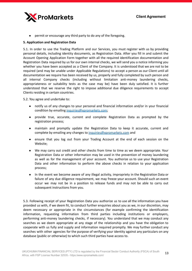

permit or encourage any third party to do any of the foregoing.

# **5. Application and Registration Data**

5.1. In order to use the Trading Platform and our Services, you must register with us by providing personal details, including identity documents, as Registration Data. After you fill in and submit the Account Opening Application Form together with all the required identification documentation and Registration Data required by us for our own internal checks, we will send you a notice informing you whether you have been accepted as a Client of the Company. It is understood that we are not to be required (and may be unable under Applicable Regulations) to accept a person as our Client until all documentation we require has been received by us, properly and fully completed by such person and all internal Company checks (including without limitation anti-money laundering checks, appropriateness or suitability tests as the case may be) have been duly satisfied. It is further understood that we reserve the right to impose additional due diligence requirements to accept Clients residing in certain countries.

5.2. You agree and undertake to:

- notify us of any changes to your personal and financial information and/or in your financial condition by emailing [inquiries@xpromarkets.com;](mailto:inquiries@xpromarkets.com)
- provide true, accurate, current and complete Registration Data as prompted by the registration process;
- maintain and promptly update the Registration Data to keep it accurate, current and complete by emailing any changes to [inquiries@xpromarkets.com](mailto:inquiries@xpromarkets.com) and
- ensure that you log out from your Trading Account at the end of each session on the Website;
- We may carry out credit and other checks from time to time as we deem appropriate. Your Registration Data or other information may be used in the prevention of money laundering as well as for the management of your account. You authorize us to use your Registration Data and other information to perform the above checks in relation to your application process;
- In the event we become aware of any illegal activity, impropriety in the Registration Data or failure of any due diligence requirement, we may freeze your account. Should such an event occur we may not be in a position to release funds and may not be able to carry out subsequent instructions from you.

5.3. Following receipt of your Registration Data you authorize us to use all the information you have provided us with, if we deem fit, to conduct further enquiries about you as we, in our discretion, may deem necessary or appropriate in the circumstances (for example confirming the identification information, requesting information from third parties including institutions or employers, performing anti-money laundering checks, if necessary). You understand that we may conduct any searches as we deem appropriate at any stage of the relationship and you have the obligation to cooperate with us fully and supply and information required promptly. We may further conduct any searches with other agencies for the purpose of verifying your identity against any particulars on any database (public or otherwise) to which such third parties have access to.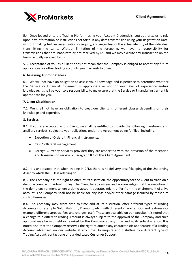

5.4. Once logged onto the Trading Platform using your Account Credentials, you authorize us to rely upon any information or instructions set forth in any data transmission using your Registration Data, without making further investigation or inquiry, and regardless of the actual identity of the individual transmitting the same. Without limitation of the foregoing, we have no responsibility for transmissions that are inaccurate or not received by us, and we may execute any Transaction on the terms actually received by us.

5.5. Acceptance of you as a Client does not mean that the Company is obliged to accept any future applications for other trading accounts you may wish to open.

#### **6. Assessing Appropriateness**

6.1. We will not have an obligation to assess your knowledge and experience to determine whether the Service or Financial Instrument is appropriate or not for your level of experience and/or knowledge. It shall be your sole responsibility to make sure that the Service or Financial Instrument is appropriate for you.

#### **7. Client Classification**

7.1. We shall not have an obligation to treat our clients in different classes depending on their knowledge and expertise.

#### **8. Services**

8.1. If you are accepted as our Client, we shall be entitled to provide the following investment and ancillary services, subject to your obligations under the Agreement being fulfilled, including,

- Execution of Orders in Financial Instruments.
- Cash/collateral management.
- Foreign Currency Services provided they are associated with the provision of the reception and transmission service of paragraph 8.1 of this Client Agreement.

8.2. It is understood that when trading in CFDs there is no delivery or safekeeping of the Underlying Asset to which the CFD is referring to.

8.3. The Company has the right to offer, at its discretion, the opportunity for the Client to trade on a demo account with virtual money. The Client hereby agrees and acknowledges that the execution in the demo environment where a demo account operates might differ from the environment of a live account. The Company shall not be liable for any loss and/or other damage incurred by reason of such differences.

8.4. The Company may, from time to time and at its discretion, offer different types of Trading Accounts (for example Gold, Platinum, Diamond, etc.) with different characteristics and features (for example different spreads, fees and charges, etc.). These are available on our website. It is noted that a change to a different Trading Account is always subject to the approval of the Company and such approval may be withheld or revoked by the Company at any time and at its sole discretion. It is noted also that the Company reserves the right to amend any characteristic and feature of a Trading Account advertised on our website at any time. To enquire about shifting to a different type of Trading Account, contact one of our dedicated Customer Support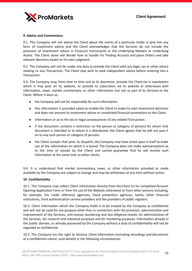

#### **9. Advice and Commentary**

9.1. The Company will not advise the Client about the merits of a particular Order or give him any form of investment advice and the Client acknowledges that the Services do not include the provision of investment advice in Financial Instruments or the Underlying Markets or Underlying Assets. The Client alone will decide how to handle his Trading Account and place Orders and take relevant decisions based on his own judgment.

9.2. The Company will not be under any duty to provide the Client with any legal, tax or other advice relating to any Transaction. The Client may wish to seek independent advice before entering into a Transaction.

9.3. The Company may, from time to time and at its discretion, provide the Client (or in newsletters which it may post on its website, or provide to subscribers via its website or otherwise) with information, news, market commentary or other information but not as part of its Services to the Client. Where it does so:

- the Company will not be responsible for such information.
- this information is provided solely to enable the Client to make his own investment decisions and does not amount to investment advice or unsolicited financial promotions to the Client.
- information or as to the tax or legal consequences of any related Transaction.
- if the document contains a restriction on the person or category of persons for whom that document is intended or to whom it is distributed, the Client agrees that he will not pass it on to any such person or category of persons.
- the Client accepts that prior to dispatch, the Company may have acted upon it itself to make use of the information on which it is based. The Company does not make representations as to the time of receipt by the Client and cannot guarantee that he will receive such information at the same time as other clients.

9.4. It is understood that market commentary, news, or other information provided or made available by the Company are subject to change and may be withdrawn at any time without notice.

#### **10. Confidentiality**

10.1. The Company may collect Client information directly from the Client (in his completed Account Opening Application Form or from his use of the Website otherwise) or from other persons including, for example, the credit reference agencies, fraud prevention agencies, banks, other financial institutions, third authentication service providers and the providers of public registers.

10.2. Client information which the Company holds is to be treated by the Company as confidential and will not be used for any purpose other than in connection with the provision, administration and improvement of the Services, anti-money laundering and due diligence checks, for administration of the Services, for research and statistical purposes and for marketing purposes. Information already in the public domain, or already possessed by the Company without a duty of confidentiality will not be regarded as confidential.

10.3. The Company has the right to disclose Client information (including recordings and documents of a confidential nature, card details) in the following circumstances: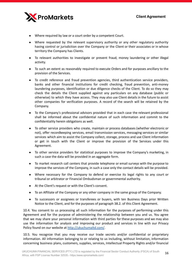

- Where required by law or a court order by a competent Court.
- Where requested by the relevant supervisory authority or any other regulatory authority having control or jurisdiction over the Company or the Client or their associates or in whose territory the Company has Clients.
- To relevant authorities to investigate or prevent fraud, money laundering or other illegal activity.
- To such an extent as reasonably required to execute Orders and for purposes ancillary to the provision of the Services.
- To credit reference and fraud prevention agencies, third authentication service providers, banks and other financial institutions for credit checking, fraud prevention, anti-money laundering purposes, identification or due diligence checks of the Client. To do so they may check the details the Client supplied against any particulars on any database (public or otherwise) to which they have access. They may also use Client details in the future to assist other companies for verification purposes. A record of the search will be retained by the Company.
- To the Company's professional advisors provided that in each case the relevant professional shall be informed about the confidential nature of such information and commit to the confidentiality herein obligations as well.
- To other service providers who create, maintain or process databases (whether electronic or not), offer recordkeeping services, email transmission services, messaging services or similar services which aim to assist the Company collect, storage, process and use Client information or get in touch with the Client or improve the provision of the Services under this Agreement.
- To other service providers for statistical purposes to improve the Company's marketing, in such a case the data will be provided in an aggregate form.
- To market research call centers that provide telephone or email surveys with the purpose to improve the services of the Company, in such a case only the contact details will be provided.
- Where necessary for the Company to defend or exercise its legal rights to any court or tribunal or arbitrator or Financial Ombudsman or governmental authority.
- At the Client's request or with the Client's consent.
- To an Affiliate of the Company or any other company in the same group of the Company.
- To successors or assignees or transferees or buyers, with ten Business Days prior Written Notice to the Client, and for the purposes of paragraph 38.2. of this Client Agreement.

10.4. You consent to us processing all such information for the purposes of performing under this Agreement and for the purpose of administering the relationship between you and us. You agree that we may share your personal information with third parties for these purposes and we may also use the information for analysis and improving our product and services in line with our Privacy Policy found on our website at <http://ukuchumaltd.com/>.

10.5. You recognize that you may receive our trade secrets and/or confidential or proprietary information. All information belonging to or relating to us including, without limitation, information concerning business plans, customers, supplies, services, Intellectual Property Rights and/or financial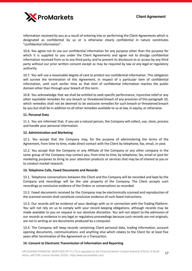

information received by you as a result of entering into or performing the Client Agreements which is designated as confidential by us or is otherwise clearly confidential in nature constitutes "confidential information".

10.6. You agree not to use our confidential information for any purpose other than the purpose for which it is supplied to you under the Client Agreements and agree not to divulge confidential information received from us to any third party, and to prevent its disclosure to or access by any third party without our prior written consent except as may be required by law or any legal or regulatory authority.

10.7. You will use a reasonable degree of care to protect our confidential information. This obligation will survive the termination of this Agreement, in respect of a particular item of confidential information, until such earlier time as that item of confidential information reaches the public domain other than through your breach of this term.

10.8. You acknowledge that we shall be entitled to seek specific performance, injunctive relief or any other equitable remedies for any breach or threatened breach of any provision of this paragraph 10, which remedies shall not be deemed to be exclusive remedies for such breach or threatened breach by you but shall be in addition to all other remedies available to us at law, in equity, or otherwise.

# **11. Personal Data**

11.1. You are informed that, if you are a natural person, the Company will collect, use, store, process and handle your personal information.

#### **12. Administration and Marketing**

12.1. You accept that the Company may, for the purpose of administering the terms of the Agreement, from time to time, make direct contact with the Client by telephone, fax, email, or post.

12.2. You accept that the Company or any Affiliate of the Company or any other company in the same group of the Company may contact you, from time to time, by telephone, fax, email or post for marketing purposes to bring to your attention products or services that may be of interest to you or to conduct market research.

# **13. Telephone Calls, Faxed Documents and Records**

13.1. Telephone conversations between the Client and the Company will be recorded and kept by the Company and recordings will be the sole property of the Company. The Client accepts such recordings as conclusive evidence of the Orders or conversations so recorded.

13.2. Faxed documents received by the Company may be electronically scanned and reproduction of the scanned version shall constitute conclusive evidence of such faxed instructions.

13.3. Our records will be evidence of your dealings with us in connection with the Trading Platform. You will not rely on us to comply with your record keeping obligations, although records may be made available to you on request in our absolute discretion. You will not object to the admission of our records as evidence in any legal or regulatory proceedings because such records are not originals, are not in writing or are documents produced by a computer.

13.4. The Company will keep records containing Client personal data, trading information, account opening documents, communications and anything else which relates to the Client for at least five years after termination of the Agreement or a Transaction.

# **14. Consent to Electronic Transmission of Information and Reporting**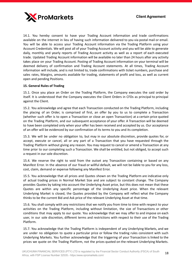

14.1. You hereby consent to have your Trading Account information and trade confirmations available on the internet in lieu of having such information delivered to you via postal mail or email. You will be able to access your Trading Account information via the Trading Platform using your Account Credentials. We will post all of your Trading Account activity and you will be able to generate daily, monthly and yearly reports of Trading Account activity as well as a report of each executed trade. Updated Trading Account information will be available no later than 24 hours after any activity takes place on your Trading Account. Posting of Trading Account information on your terminal will be deemed delivery of confirmation and Trading Account statements. At all times, Trading Account information will include, and is not limited to, trade confirmations with ticket numbers, purchase and sales rates, Margins, amounts available for trading, statements of profit and loss, as well as current open and pending Positions.

# **15. General Rules of Trading**

15.1. Once you place an Order on the Trading Platform, the Company executes the said order by itself. It is understood that the Company executes the Client Orders in CFDs as principal to principal against the Client.

15.2. You acknowledge and agree that each Transaction conducted on the Trading Platform, including the placing of an Order, is comprised of first, an offer by you to us to complete a Transaction (whether such offer is to open a Transaction or close an open Transaction) at a certain price quoted on the Trading Platform, and our subsequent acceptance of your offer. A Transaction will be deemed to have been completed only when your offer has been received and accepted by us. Our acceptance of an offer will be evidenced by our confirmation of its terms to you and its completion.

15.3. We will be under no obligation to, but may in our absolute discretion, provide quotes for, or accept, execute or cancel, all or any part of a Transaction that you have requested through the Trading Platform without giving any reason. You may request to cancel or amend a Transaction at any time prior to our completing such a Transaction. We shall be entitled, but not obliged, to accept such a request in our sole discretion.

15.4. We reserve the right to void from the outset any Transaction containing or based on any Manifest Error. In the absence of our fraud or willful default, we will not be liable to you for any loss, cost, claim, demand or expense following any Manifest Error.

15.5. You acknowledge that all prices and Quotes shown on the Trading Platform are indicative only of actual trading prices in Normal Market Size and are subject to constant change. The Company provides Quotes by taking into account the Underlying Asset price, but this does not mean that these Quotes are within any specific percentage of the Underlying Asset price. When the relevant Underlying Market is closed, the Quotes provided by the Company will reflect what the Company thinks to be the current Bid and Ask price of the relevant Underlying Asset at that time.

15.6. You shall comply with any restrictions that we notify you from time to time with respect to your activities on the Trading Platform, including without limitation, the size of Transactions or other conditions that may apply to our quote. You acknowledge that we may offer to and impose on each user, in our sole discretion, different terms and restrictions with respect to their use of the Trading Platform.

15.7. You acknowledge that the Trading Platform is independent of any Underlying Markets, and we are under no obligation to quote a particular price or follow the trading rules consistent with such Underlying Markets. You further acknowledge that the triggering of your Transaction is linked to the prices we quote on the Trading Platform, not the prices quoted on the relevant Underlying Markets.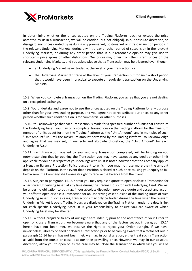

In determining whether the prices quoted on the Trading Platform reach or exceed the price accepted by us in a Transaction, we will be entitled (but not obliged), in our absolute discretion, to disregard any prices quoted by us during any pre-market, post-market or intra-day auction periods in the relevant Underlying Markets, during any intra-day or other period of suspension in the relevant Underlying Markets, or during any other period that in our reasonable opinion may give rise to short-term price spikes or other distortions. Our prices may differ from the current prices on the relevant Underlying Markets, and you acknowledge that a Transaction may be triggered even though:

- an Underlying Market never traded at the level of your Transaction; or
- the Underlying Market did trade at the level of your Transaction but for such a short period that it would have been impractical to execute an equivalent transaction on the Underlying Markets.

15.8. When you complete a Transaction on the Trading Platform, you agree that you are not dealing on a recognized exchange.

15.9. You undertake and agree not to use the prices quoted on the Trading Platform for any purpose other than for your own trading purpose, and you agree not to redistribute our prices to any other person whether such redistribution is for commercial or other purposes

15.10. You acknowledge that each Transaction is made for a specified number of units that constitute the Underlying Asset. You may only complete Transactions on the Trading Platform for the minimum number of units as set forth on the Trading Platform as the "Unit Amount", and in multiples of such "Unit Amount" up until the maximum amount permitted by the Trading Platform. You acknowledge and agree that we may set, in our sole and absolute discretion, the "Unit Amount" for each Underlying Asset.

15.11. Each Transaction opened by you, and any Transaction completed, will be binding on you notwithstanding that by opening the Transaction you may have exceeded any credit or other limit applicable to you or in respect of your dealings with us. It is noted however that the Company applies a Negative Balance Protection Policy pursuant to which, you may not lose more than the amount deposit on the Platform. In the event that a Position is closed at such price causing your equity to fall below zero, the Company shall waive its right to receive the balance from the Client.

15.12. Subject to paragraph 15.15 herein you may request a quote to open or close a Transaction for a particular Underlying Asset, at any time during the Trading Hours for such Underlying Asset. We will be under no obligation to but may, in our absolute discretion, provide a quote and accept and act on your offer to open or close a Transaction for an Underlying Asset outside of the Trading Hours of such Underlying Asset. In some cases, Transactions may only be traded during the time when the relevant Underlying Market is open. Trading Hours are displayed on the Trading Platform under the details link for each specific Underlying Asset. It is your responsibility to ensure you are aware of which Underlying Asset may be affected.

15.13. Without prejudice to any of our right hereunder, if, prior to the acceptance of your Order to open or close a Transaction, we become aware that any of the factors set out in paragraph 15.14 herein have not been met, we reserve the right to reject your Order outright. If we have, nevertheless, already opened or closed a Transaction prior to becoming aware that a factor set out in paragraph 15.14 herein has not been met, we may, in our discretion, either treat such a Transaction as void from the outset or close it at our then prevailing price. However, we may, in our absolute discretion, allow you to open or, as the case may be, close the Transaction in which case you will be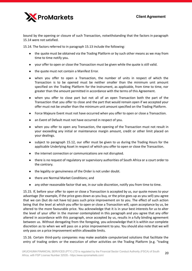

bound by the opening or closure of such Transaction, notwithstanding that the factors in paragraph 15.14 were not satisfied.

15.14. The factors referred to in paragraph 15.13 include the following:

- the quote must be obtained via the Trading Platform or by such other means as we may from time to time notify you.
- your offer to open or close the Transaction must be given while the quote is still valid.
- the quote must not contain a Manifest Error.
- when you offer to open a Transaction, the number of units in respect of which the Transaction is to be opened must be neither smaller than the minimum unit amount specified on the Trading Platform for the Instrument, as applicable, from time to time, nor greater than the amount permitted in accordance with the terms of this Agreement.
- when you offer to close part but not all of an open Transaction both the part of the Transaction that you offer to close and the part that would remain open if we accepted your offer must not be smaller than the minimum unit amount specified on the Trading Platform.
- Force Majeure Event must not have occurred when you offer to open or close a Transaction.
- an Event of Default must not have occurred in respect of you.
- when you offer to open any Transaction, the opening of the Transaction must not result in your exceeding any initial or maintenance margin amount, credit or other limit placed on your dealings.
- subject to paragraph 15.12, our offer must be given to us during the Trading Hours for the applicable Underlying Asset in respect of which you offer to open or close the Transaction.
- the internet connection or communications are not disrupted.
- there is no request of regulatory or supervisory authorities of South Africa or a court order to the contrary.
- the legality or genuineness of the Order is not under doubt.
- there are Normal Market Conditions; and
- any other reasonable factor that we, in our sole discretion, notify you from time to time.

15.15. If, before your offer to open or close a Transaction is accepted by us, our quote moves to your advantage (for example, if the price goes down as you buy, or the price goes up as you sell) you agree that we can (but do not have to) pass such price improvement on to you. The effect of such action being that the level at which you offer to open or close a Transaction will, upon acceptance by us, be altered to the more favourable price. You acknowledge that it is in your best interests for us to alter the level of your offer in the manner contemplated in this paragraph and you agree that any offer altered in accordance with this paragraph, once accepted by us, results in a fully binding agreement between us. Without derogating from the foregoing, you acknowledge that it is within our complete discretion as to when we will pass on a price improvement to you. You should also note that we will only pass on a price improvement within allowable limits.

15.16. Certain third-party companies may make available computerized solutions that facilitate the entry of trading orders or the execution of other activities on the Trading Platform (e.g. "trading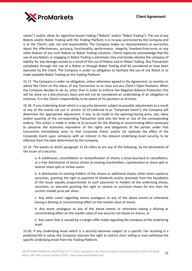

robots") and/or allow for algorithm-based trading ("Robots" and/or "Robot Trading"). The use of any Robots and/or Robot Trading with the Trading Platform is in no way sanctioned by the Company and is at the Client's sole risk and responsibility. The Company makes no representations or warranties about the effectiveness, accuracy, functionality, performance, integrity, freedom-from-error or any other feature of any such Robots or Robot Trading solutions. Clients expressly acknowledge that the use of any Robots or engaging in Robot Trading is extremely risky and hereby absolve the company of liability for any damage caused as a result of the use of Robots and or Robot Trading. Any Transaction completed through the use of a Robot or through Robot Trading shall be considered to have been executed by the Client. The Company is under no obligation to facilitate the use of any Robot or to make available Robot Trading on the Trading Platform.

15.17. The Company is under no obligation, unless otherwise agreed in the Agreement, to monitor or advise the Client on the status of any Transaction or to close out any Client's Open Positions. When the Company decides to do so, other than in order to enforce the Negative Balance Protection, this will be done on a discretionary basis and will not be considered an undertaking of an obligation to continue. It is the Client's responsibility to be aware of his positions at all times.

15.18. If any Underlying Asset which is a security becomes subject to possible adjustments as a result of any of the events set out in section 15.19 (referred to as "Corporate Event"), the Company will determine the appropriate adjustment, if any, to be made to the opening/closing price, size, value and/or quantity of the corresponding Transaction (and also the level or size of the corresponding orders). This action is made in order to (i) account for the diluting or concentrating effect necessary to preserve the economic equivalent of the rights and obligations of the parties under that transaction immediately prior to that Corporate Event, and/or (ii) replicate the effect of the Corporate Event upon someone with an interest in the relevant Underlying Asset security, to be effective from the date determined by the Company.

15.19. The events to which paragraph 15.18 refers to are any of the following, by the declaration of the issuer of a security:

a. A subdivision, consolidation or reclassification of shares, a share buy-back or cancellation, or a free distribution of bonus shares to existing shareholders, capitalization or share split or reverse share split or similar event.

b. A distribution to existing holders of the shares or additional shares, other share capital or securities, granting the right to payment of dividends and/or proceeds from the liquidation of the issuer equally proportionate to such payments to holders of the underlying shares, securities, or warrants granting the right to receive or purchase shares for less than the current market price per share.

c. Any other event regarding shares analogous to any of the above events or otherwise having a diluting or concentrating effect on the market value of shares.

d. Any event analogous to any of the above events or otherwise having a diluting or concentrating effect on the market value of any security not based on shares; or

e. Any event that is caused by a merger offer made regarding the company of the underlying asset.

15.20. If any Underlying Asset which is a security becomes subject to a specific risk resulting in a predicted fall in value, the Company reserves the right to restrict short selling or even withdraw the specific Underlying Asset from the Trading Platform.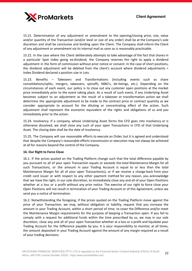

15.21. Determination of any adjustment or amendment to the opening/closing price, size, value and/or quantity of the Transaction (and/or level or size of any order) shall be at the Company's sole discretion and shall be conclusive and binding upon the Client. The Company shall inform the Client of any adjustment or amendment via its internal mail as soon as is reasonably practicable.

15.22. In the case where the Client deliberately attempts to take advantage of the fact that shares in a particular Spot Index going ex-dividend, the Company reserves the right to apply a dividend adjustment in the form of commission without prior notice or consent. In the case of short positions, the dividend adjustment will be debited from the client's account where dividend adjustments = Index Dividend declared x position size in Lots.

15.23. Benefits – Takeovers and Transformations (including events such as share consolidations/splits, mergers, takeovers, spinoffs, MBO's, de-listings, etc.). Depending on the circumstances of each event, our policy is to close out any customer open positions at the market price immediately prior to the event taking place. As a result of such event, if any Underlying Asset becomes subject to an adjustment as the result of a takeover or transformation action we shall determine the appropriate adjustment to be made to the contract price or contract quantity as we consider appropriate to account for the diluting or concentrating effect of the action. Such adjustment shall represent the economic equivalent of the rights and obligations of us and you immediately prior to the action.

15.24. Insolvency. If a company, whose Underlying Asset forms the CFD goes into insolvency or is otherwise dissolved, we shall close any such of your open Transactions in CFD of that Underlying Asset. The closing date shall be the date of insolvency.

15.25. The Company will use reasonable efforts to execute an Order, but it is agreed and understood that despite the Company's reasonable efforts transmission or execution may not always be achieved at all for reasons beyond the control of the Company.

# **16. Our Right to Force Close**

16.1. If the prices quoted on the Trading Platform change such that the total difference payable by you pursuant to all of your open Transaction equals or exceeds the total Maintenance Margin for all such Transactions, or the amount in your Trading Account is equal to or less than the total Maintenance Margin for all of your open Transaction(s), or if we receive a charge-back from your credit card issuer or with respect to any other payment method for any reason, you acknowledge that we have the right, in our sole discretion, to immediately close any and all of your Open Positions whether at a loss or a profit without any prior notice. The exercise of our right to force close your Open Positions will not result in termination of your Trading Account or of this Agreement, unless we send you a notice of termination.

16.2. Notwithstanding the foregoing, if the prices quoted on the Trading Platform move against the price of your Transaction, we may, without obligation or liability, request that you increase the amount in your Trading Account, within a short period of time, to cover the Difference and/or meet the Maintenance Margin requirements for the purpose of keeping a Transaction open. If you fail to comply with a request for additional funds within the time prescribed by us, we may in our sole discretion, close any and all of your open Transaction whether at a loss or a profit and liquidate your Trading Account for the Difference payable by you. It is your responsibility to monitor, at all times, the amount deposited in your Trading Account against the amount of any margin required as a result of your trading decisions.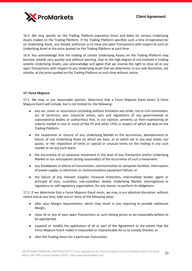

16.3. We may specify on the Trading Platform expiration times and dates for various Underlying Assets traded on the Trading Platform. If the Trading Platform specifies such a time of expiration for an Underlying Asset, you hereby authorize us to close any open Transactions with respect to such an Underlying Asset at the price quoted on the Trading Platform at such time.

16.4. You acknowledge that the trading of certain Underlying Assets on the Trading Platform may become volatile very quickly and without warning. Due to the high degree of risk involved in trading volatile Underlying Assets, you acknowledge and agree that we reserve the right to close all or any open Transactions with respect to any Underlying Asset that we determine, in our sole discretion, are volatile, at the price quoted on the Trading Platform at such time without notice.

# **17. Force Majeure**

17.1. We may, in our reasonable opinion, determine that a Force Majeure Event exists. A Force Majeure Event will include, but is not limited to, the following:

- any act, event or occurrence (including without limitation any strike, riot or civil commotion, act of terrorism, war, industrial action, acts and regulations of any governmental or supranational bodies or authorities) that, in our opinion, prevents us from maintaining an orderly market in one or more of the FX and other CFDs in respect of which we deal on the Trading Platform.
- the suspension or closure of any Underlying Market or the occurrence, abandonment or failure of any Underlying Asset on which we base, or to which we in any way relate, our quote, or the imposition of limits or special or unusual terms on the trading in any such market or on any such event.
- the occurrence of an excessive movement in the level of any Transaction and/or Underlying Market or our anticipation (acting reasonably) of the occurrence of such a movement.
- any breakdown or failure of transmission, communication or computer facilities, interruption of power supply, or electronic or communications equipment failure; or
- the failure of any relevant supplier, Financial Institution, intermediate broker, agent or principal of ours, custodian, sub-custodian, dealer, Underlying Market, clearinghouse or regulatory or self-regulatory organization, for any reason, to perform its obligations.

17.2. If we determine that a Force Majeure Event exists, we may, in our absolute discretion, without notice and at any time, take one or more of the following steps:

- alter your Margin requirements, which may result in you requiring to provide additional Margin.
- close all or any of your open Transactions at such closing prices as we reasonably believe to be appropriate.
- suspend or modify the application of all or part of the Agreement to the extent that the Force Majeure Event makes it impossible or impracticable for us to comply thereto; or
- alter the Trading Hours for a particular Transaction.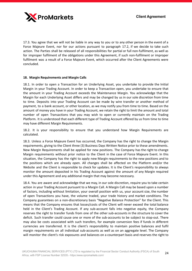

17.3. You agree that we will not be liable in any way to you or to any other person in the event of a Force Majeure Event, nor for our actions pursuant to paragraph 17.2, if we decide to take such action. The Parties shall be released of all responsibilities for partial or full non-fulfilment, as well as for improper fulfilment of the obligations under this Agreement, if such non-fulfilment or improper fulfilment was a result of a Force Majeure Event, which occurred after the Client Agreements were concluded.

# **18. Margin Requirements and Margin Calls**

18.1. In order to open a Transaction for an Underlying Asset, you undertake to provide the Initial Margin in your Trading Account. In order to keep a Transaction open, you undertake to ensure that the amount in your Trading Account exceeds the Maintenance Margin. You acknowledge that the Margin for each Underlying Asset differs and may be changed by us in our sole discretion from time to time. Deposits into your Trading Account can be made by wire transfer or another method of payment, to a bank account, or other location, as we may notify you from time to time. Based on the amount of money you have in your Trading Account, we retain the right to limit the amount and total number of open Transactions that you may wish to open or currently maintain on the Trading Platform. It is understood that each different type of Trading Account offered by us from time to time may have different Margin Requirements.

18.2. It is your responsibility to ensure that you understand how Margin Requirements are calculated.

18.3. Unless a Force Majeure Event has occurred, the Company has the right to change the Margin requirements, giving to the Client three (3) Business Days Written Notice prior to these amendments. New Margin Requirements shall be applied for new positions. The Company has the right to change Margin requirements without prior notice to the Client in the case of Force Majeure Event. In this situation, the Company has the right to apply new Margin requirements to the new positions and to the positions which are already open. All changes shall be affected on the Platform and/or the Website and the Client is responsible to check for updates. It is the Client's responsibility to always monitor the amount deposited in his Trading Account against the amount of any Margin required under this Agreement and any additional margin that may become necessary.

18.4. You are aware and acknowledge that we may, in our sole discretion, require you to take certain action in your Trading Account pursuant to a Margin Call. A Margin Call may be based upon a number of factors, including without limitation, your overall position with us, your account size, the number of open Transactions you have, the volume traded, your trade history and market conditions. The Company guarantees on a non-discretionary basis "Negative Balance Protection" for the Client. This means that the Company ensures that losses/costs of the Client will never exceed the total balance held in the Client's Trading Account. If any sub-account falls into negative equity, the Company reserves the right to transfer funds from one of the other sub-accounts in the structure to cover the deficit. Such transfer could cause one or more of the sub-accounts to be subject to stop-out. There may also be costs associated with such transfers, for example conversion fees if funds in different currencies are transferred. It is the client's responsibility to maintain positive balances and fulfil margin requirements on all individual sub-accounts as well as on an aggregate level. The Company will monitor the client's risk exposures and balances on a counterpart basis and reserves the right to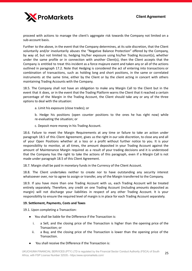proceed with actions to manage the client's aggregate risk towards the Company not limited on a sub-account basis.

Further to the above, in the event that the Company determines, at its sole discretion, that the Client voluntarily and/or involuntarily abuses the "Negative Balance Protection" offered by the Company, by way of, but not limited to, hedging his/her exposure using his/her Trading Account(s), whether under the same profile or in connection with another Client(s), then the Client accepts that the Company is entitled to treat this incident as a force majeure event and taken any or all of the actions outlined in paragraph 17.2. Note that Hedging is considered the act of entering into transactions or combination of transactions, such as holding long and short positions, in the same or correlated instruments at the same time, either by the Client or by the client acting in concert with others maintaining Trading Accounts with the Company.

18.5. The Company shall not have an obligation to make any Margin Call to the Client but in the event that it does, or in the event that the Trading Platform warns the Client that it reached a certain percentage of the Margin in the Trading Account, the Client should take any or any of the three options to deal with the situation:

a. Limit his exposure (close trades); or

b. Hedge his positions (open counter positions to the ones he has right now) while re-evaluating the situation; or

c. Deposit more money in his Trading Account.

18.6. Failure to meet the Margin Requirements at any time or failure to take an action under paragraph 18.5 of this Client Agreement, gives us the right in our sole discretion, to close any and all of your Open Positions whether at a loss or a profit without further notice to you. It is your responsibility to monitor, at all times, the amount deposited in your Trading Account against the amount of Maintenance Margin required as a result of your trading decisions and it is understood that the Company has the right to take the actions of this paragraph, even if a Margin Call is not made under paragraph 18.5 of this Client Agreement.

18.7. Margin shall be paid in monetary funds in the Currency of the Client Account.

18.8. The Client undertakes neither to create nor to have outstanding any security interest whatsoever over, nor to agree to assign or transfer, any of the Margin transferred to the Company.

18.9. If you have more than one Trading Account with us, each Trading Account will be treated entirely separately. Therefore, any credit on one Trading Account (including amounts deposited as margin) will not discharge your liabilities in respect of any other Trading Account. It is your responsibility to ensure the required level of margin is in place for each Trading Account separately.

# **19. Settlement, Payments, Costs and Taxes**

19.1. Upon completing a Transaction:

- You shall be liable for the Difference if the Transaction is:
	- i. a Sell, and the closing price of the Transaction is higher than the opening price of the Transaction; or
	- ii. a Buy, and the closing price of the Transaction is lower than the opening price of the Transaction.
- You shall receive the Difference if the Transaction is: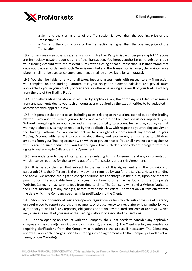

- i. a Sell, and the closing price of the Transaction is lower than the opening price of the Transaction; or
- ii. a Buy, and the closing price of the Transaction is higher than the opening price of the Transaction.

19.2. Unless we agree otherwise, all sums for which either Party is liable under paragraph 19.1 above are immediacy payable upon closing of the Transaction. You hereby authorise us to debit or credit your Trading Account with the relevant sums at the closing of each Transaction. It is understood that once you place an Order, until such Order is executed and the Transaction is closed, the Maintenance Margin shall not be used as collateral and hence shall be unavailable for withdrawal.

19.3. You shall be liable for any and all taxes, fees and assessments with respect to any Transaction you complete on the Trading Platform. It is your obligation alone to calculate and pay all taxes applicable to you in your country of residence, or otherwise arising as a result of your trading activity from the use of the Trading Platform.

19.4. Notwithstanding the above, if required by applicable law, the Company shall deduct at source from any payments due to you such amounts as are required by the tax authorities to be deducted in accordance with applicable law.

19.5. It is possible that other costs, including taxes, relating to transactions carried out on the Trading Platform may arise for which you are liable and which are neither paid via us nor imposed by us. Without derogating from your sole and entire responsibility to account for tax due, you agree that we may deduct tax, as may be required by the applicable law, with respect to your trading activity on the Trading Platform. You are aware that we have a right of set-off against any amounts in your Trading Account with respect to such tax deductions, and you hereby authorize us to withdraw amounts from your Trading Account with which to pay such taxes. You shall have no claim against us with regard to such deductions. You further agree that such deductions do not derogate from our rights to make Margin Calls under this Agreement.

19.6. You undertake to pay all stamp expenses relating to this Agreement and any documentation which may be required for the currying out of the Transactions under this Agreement.

19.7. It is hereby clarified that subject to the terms of this Agreement and the provisions of paragraph 23.1, the Difference is the only payment required by you for the Services. Notwithstanding the above, we reserve the right to charge additional fees or charges in the future, upon one month's prior notice. The applicable fees or charges from time to time may be found on the Company's Website. Company may vary its fees from time to time. The Company will send a Written Notice to the Client informing of any changes, before they come into effect. The variation will take effect from the date which the Company specifies in its notification to the Client.

19.8. Should your country of residence operate regulations or laws which restrict the use of currency or require you to report receipts and payments of that currency to a regulator or legal authority, you agree that you will fulfil any reporting obligations or obtain any required consents or approvals which may arise as a result of your use of the Trading Platform or associated transactions.

19.9. Prior to opening an account with the Company, the Client needs to consider any applicable charges such as spread(s), mark-up(s), commission(s), and swap(s). The Client is solely responsible for requiring clarifications from the Company in relation to the above, if necessary. The Client may review all applicable charges, prior to entering into an agreement with the Company as well as at all times, on our Website(s).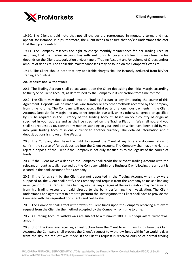

19.10. The Client should note that not all charges are represented in monetary terms and may appear, for instance, in pips; therefore, the Client needs to ensure that he/she understands the cost that the pip amounts to.

19.11. The Company reserves the right to charge monthly maintenance fee per Trading Account assuming that the Trading Account has sufficient funds to cover such fee. This maintenance fee depends on the Client categorization and/or type of Trading Account and/or volume of Orders and/or amount of deposits. The applicable maintenance fees may be found on the Company's Website.

19.12. The Client should note that any applicable charges shall be instantly deducted from his/her Trading Account(s).

#### **20. Deposits and Withdrawals**

20.1. The Trading Account shall be activated upon the Client depositing the Initial Margin, according to the type of Client Account, as determined by the Company in its discretion from time to time.

20.2. The Client may deposit funds into the Trading Account at any time during the course of this Agreement. Deposits will be made via wire transfer or any other methods accepted by the Company from time to time. The Company will not accept third party or anonymous payments in the Client Account. Deposits for Margin and any other deposits due will, unless otherwise agreed or specified by us, be required in the Currency of the Trading Account, based on your country of origin as specified in your address and as shall be specified on the Trading Platform. We shall not, and you shall not request us to, convert any monies standing to your credit or which have been paid by you into your Trading Account in one currency to another currency. The detailed information about deposit options is shown on the Website.

20.3. The Company shall have the right to request the Client at any time any documentation to confirm the source of funds deposited into the Client Account. The Company shall have the right to reject a deposit of the Client if the Company is not duly satisfied as to the legality of the source of funds.

20.4. If the Client makes a deposit, the Company shall credit the relevant Trading Account with the relevant amount actually received by the Company within one Business Day following the amount is cleared in the bank account of the Company.

20.5. If the funds sent by the Client are not deposited in the Trading Account when they were supposed to, the Client shall notify the Company and request from the Company to make a banking investigation of the transfer. The Client agrees that any charges of the investigation may be deducted from his Trading Account or paid directly to the bank performing the investigation. The Client understands and agrees that in order to perform the investigation the Client shall have to provide the Company with the requested documents and certificates.

20.6. The Company shall affect withdrawals of Client funds upon the Company receiving a relevant request from the Client in the method accepted by the Company from time to time.

20.7. All Trading Account withdrawals are subject to a minimum 100 USD (or equivalent) withdrawal amount.

20.8. Upon the Company receiving an instruction from the Client to withdraw funds from the Client Account, the Company shall process the Client's request to withdraw funds within five working days from the day the request was made, if the Client's request is received outside of normal trading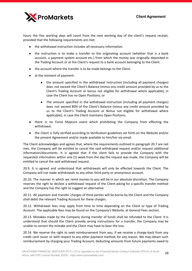

hours the five working days will count from the next working day of the client's request receipt, provided that the following requirements are met:

- the withdrawal instruction includes all necessary information.
- the instruction is to make a transfer to the originating account (whether that is a bank account, a payment system account etc.) from which the money was originally deposited in the Trading Account or at the Client's request to a bank account belonging to the Client.
- the account where the transfer is to be made belongs to the Client.
- at the moment of payment:
	- the amount specified in the withdrawal instruction (including all payment charges) does not exceed the Client's Balance (minus any credit amount provided by us to the Client's Trading Account or bonus not eligible for withdrawal where applicable), in case the Client has no Open Positions; or
	- The amount specified in the withdrawal instruction (including all payment charges) does not exceed 80% of the Client's Balance (minus any credit amount provided by us to the Client's Trading Account or Bonus not eligible for withdrawal where applicable), in case the Client maintains Open Positions.
- there is no Force Majeure event which prohibiting the Company from effecting the withdrawal.
- the Client is fully verified according to Verification guidelines set forth on the Website and/or the present Agreement and/or made available to him/her via email.

The Client acknowledges and agrees that, where the requirements outlined in paragraph 20.7 are not met, the Company will be entitled to cancel the said withdrawal request and/or request additional information/documents. It is agreed that if the client fails to provide the Company with the requested information within one (1) week from the day the request was made, the Company will be entitled to cancel the said withdrawal request.

20.9. It is agreed and understood that withdrawals will only be effected towards the Client. The Company will not make withdrawals to any other third party or anonymous account.

20.10. The manner in which we remit monies to you will be in our absolute discretion. The Company reserves the right to decline a withdrawal request of the Client asking for a specific transfer method and the Company has the right to suggest an alternative.

20.11. All payment and transfer charges of third parties will be borne by the Client and the Company shall debit the relevant Trading Account for these charges.

20.12. Withdrawal fees may apply from time to time depending on the Client or type of Trading Account. The applicable fees may be found on the Company's Website, at General Fees section.

20.13. Mistakes made by the Company during transfer of funds shall be refunded to the Client. It is understood that should the Client provide wrong instructions for a transfer, the Company may be unable to correct the mistake and the Client may have to bear the loss.

20.14. We reserve the right to seek reimbursement from you, if we receive a charge-back from any credit card issuer or with respect to any other payment method, for any reason. We may obtain such reimbursement by charging your Trading Account, deducting amounts from future payments owed to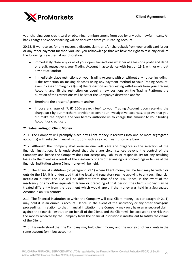

you, charging your credit card or obtaining reimbursement from you by any other lawful means. All bank charges howsoever arising will be deducted from your Trading Account.

20.15. If we receive, for any reason, a dispute, claim, and/or chargeback from your credit card issuer or any other payment method you use, you acknowledge that we have the right to take any or all of the following measures, at our discretion:

- immediately close any or all of your open Transactions whether at a loss or a profit and debit or credit, respectively, your Trading Account in accordance with Section 19.2, with or without any notice; and/or
- immediately place restrictions on your Trading Account with or without any notice, including: i) the restriction on making deposits using any payment method to your Trading Account, even in cases of margin call(s), ii) the restriction on requesting withdrawals from your Trading Account, and iii) the restriction on opening new positions on the Trading Platform; the duration of the restrictions will be set at the Company's discretion and/or
- Terminate the present Agreement and/or
- Impose a charge of "USD 150-research fee" to your Trading Account upon receiving the chargeback by our merchant provider to cover our investigative expenses, to prove that you did make the deposit and you hereby authorise us to charge this amount to your Trading Account or credit card.

#### **21. Safeguarding of Client Money**

21.1. The Company will promptly place any Client money it receives into one or more segregated account(s) with reliable financial institutions such as a credit institution or a bank.

21.2. Although the Company shall exercise due skill, care and diligence in the selection of the financial institution, it is understood that there are circumstances beyond the control of the Company and hence the Company does not accept any liability or responsibility for any resulting losses to the Client as a result of the insolvency or any other analogous proceedings or failure of the financial institution where Client money will be held.

21.3. The financial institution (of paragraph 21.1) where Client money will be held may be within or outside the EEA. It is understood that the legal and regulatory regime applying to any such financial institution outside the EEA will be different from that of the EEA. Hence, in the event of the insolvency or any other equivalent failure or preceding of that person, the Client's money may be treated differently from the treatment which would apply if the money was held in a Segregated Account in an EEA country.

21.4. The financial institution to which the Company will pass Client money (as per paragraph 21.1) may hold it in an omnibus account. Hence, in the event of the insolvency or any other analogous proceedings in relation to that financial institution, the Company may only have an unsecured claim against the financial institution on behalf of the Client, and the Client will be exposed to the risk that the money received by the Company from the financial institution is insufficient to satisfy the claims of the Client.

21.5. It is understood that the Company may hold Client money and the money of other clients in the same account (omnibus account).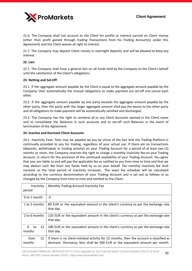

21.6. The Company shall not account to the Client for profits or interest earned on Client money (other than profit gained through trading Transactions from his Trading Account(s) under this Agreement) and the Client waives all right to interest.

21.7. The Company may deposit Client money in overnight deposits and will be allowed to keep any interest.

#### **22. Lien**

22.1. The Company shall have a general lien on all funds held by the Company on the Client's behalf until the satisfaction of the Client's obligations.

#### **23. Netting and Set-Off**

23.1. If the aggregate amount payable by the Client is equal to the aggregate amount payable by the Company, then automatically the mutual obligations to make payment are set-off and cancel each other.

23.2. If the aggregate amount payable by one party exceeds the aggregate amount payable by the other party, then the party with the larger aggregate amount shall pay the excess to the other party and all obligations to make payment will be automatically satisfied and discharged.

23.3. The Company has the right to combine all or any Client Accounts opened in the Client name and to consolidate the Balances in such accounts and to set-off such Balances in the event of termination of the Agreement.

#### **24. Inactive and Dormant Client Accounts**

24.1. Inactivity Fees: Fees may be payable by you by virtue of the fact that the Trading Platform is continually provided to you for trading, regardless of your actual use. If there are no transactions (deposits, withdrawals or trading activity) on your Trading Account for a period of at least two (2) months or more, the Company reserves the right to charge a monthly inactivity fee on your Trading Account, in return for the provision of the continued availability of your Trading Account. You agree that you are liable to and will pay the applicable fee as notified to you from time to time and that we may deduct such fee from any funds held by us on your behalf. The monthly inactivity fee shall increase as the total period of inactivity increases. The exact fee schedule will be calculated according to the currency denomination of your Trading Account and is set out as follows or as changed by the Company from time to time and notified to the Client:

| Inactivity<br>period    | Monthly Trading Account Inactivity Fee                                                                                                                                   |
|-------------------------|--------------------------------------------------------------------------------------------------------------------------------------------------------------------------|
| $0$ to 1 month          | 0                                                                                                                                                                        |
| 1 to 2 months           | 80 EUR or the equivalent amount in the client's currency as per the exchange rate<br>that day.                                                                           |
| 2 to 6 months           | 120 EUR or the equivalent amount in the client's currency as per the exchange rate<br>that day.                                                                          |
| 6<br>12<br>to<br>months | 200 EUR or the equivalent amount in the client's currency as per the exchange rate<br>that day.                                                                          |
| Over<br>12<br>months    | If there is no client-initiated activity for 12 months, then the account is classified as<br>dormant. Dormancy fees shall be 500 EUR or the equivalent amount per month. |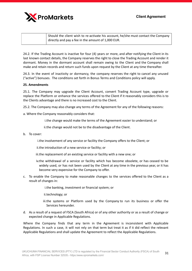

| A Should the client wish to re-activate his account, he/she must contact the Company |
|--------------------------------------------------------------------------------------|
| directly and pay a fee in the amount of 1,000 EUR.                                   |

24.2. If the Trading Account is inactive for four (4) years or more, and after notifying the Client in its last known contact details, the Company reserves the right to close the Trading Account and render it dormant. Money in the dormant account shall remain owing to the Client and the Company shall make and retain records and return such funds upon request by the Client at any time thereafter.

24.3. In the event of inactivity or dormancy, the company reserves the right to cancel any unused ("active") bonuses. The conditions set forth in Bonus Terms and Conditions policy will apply.

# **25. Amendments**

25.1. The Company may upgrade the Client Account, convert Trading Account type, upgrade or replace the Platform or enhance the services offered to the Client if it reasonably considers this is to the Clients advantage and there is no increased cost to the Client.

25.2. The Company may also change any terms of the Agreement for any of the following reasons:

a. Where the Company reasonably considers that:

i.the change would make the terms of the Agreement easier to understand; or

ii.the change would not be to the disadvantage of the Client.

b. To cover:

i.the involvement of any service or facility the Company offers to the Client; or

ii.the introduction of a new service or facility; or

- iii.the replacement of an existing service or facility with a new one; or
- iv.the withdrawal of a service or facility which has become obsolete, or has ceased to be widely used, or has not been used by the Client at any time in the previous year, or it has become very expensive for the Company to offer.
- c. To enable the Company to make reasonable changes to the services offered to the Client as a result of changes in:

i.the banking, investment or financial system; or

- ii.technology; or
- iii.the systems or Platform used by the Company to run its business or offer the Services hereunder.
- d. As a result of a request of FSCA (South Africa) or of any other authority or as a result of change or expected change in Applicable Regulations.

Where the Company finds that any term in the Agreement is inconsistent with Applicable Regulations. In such a case, it will not rely on that term but treat it as if it did reflect the relevant Applicable Regulations and shall update the Agreement to reflect the Applicable Regulations.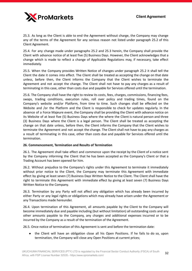

25.3. As long as the Client is able to end the Agreement without charge, the Company may change any of the terms of the Agreement for any serious reason not listed under paragraph 25.2 of this Client Agreement.

25.4. For any change made under paragraphs 25.2 and 25.3 herein, the Company shall provide the Client with advance notice of at least five (5) Business Days. However, the Client acknowledges that a change which is made to reflect a change of Applicable Regulations may, if necessary, take effect immediately.

25.5. When the Company provides Written Notice of changes under paragraph 25.2 it shall tell the Client the date it comes into effect. The Client shall be treated as accepting the change on that date unless, before then, the Client informs the Company that the Client wishes to terminate the Agreement and not accept the change. The Client shall not have to pay any charges as a result of terminating in this case, other than costs due and payable for Services offered until the termination.

25.6. The Company shall have the right to review its costs, fees, charges, commissions, financing fees, swaps, trading conditions, execution rules, roll over policy and trading times, found on the Company's website and/or Platform, from time to time. Such changes shall be effected on the Website and /or the Platform and the Client is responsible to check for updates regularly. In the absence of a Force Majeure event, the Company shall be providing the Client with advance notice on its Website of at least five (5) Business Days where the where the Client is natural person and three (3) Business Days where the Client is a legal person. The Client shall be treated as accepting the change on that date unless, before then, the Client informs the Company that the Client wishes to terminate the Agreement and not accept the change. The Client shall not have to pay any charges as a result of terminating in this case, other than costs due and payable for Services offered until the termination.

# **26. Commencement, Termination and Results of Termination**

26.1. The Agreement shall take effect and commence upon the receipt by the Client of a notice sent by the Company informing the Client that he has been accepted as the Company's Client or that a Trading Account has been opened for him.

26.2. Without prejudice to the Company's rights under this Agreement to terminate it immediately without prior notice to the Client, the Company may terminate this Agreement with immediate effect by giving at least seven (7) Business Days Written Notice to the Client. The Client shall have the right to terminate this Agreement with immediate effect by giving at least seven (7) Business Days Written Notice to the Company.

26.3. Termination by any Party will not affect any obligation which has already been incurred by either Party or any legal rights or obligations which may already have arisen under the Agreement or any Transactions made hereunder.

26.4. Upon termination of this Agreement, all amounts payable by the Client to the Company will become immediately due and payable including (but without limitation) all outstanding costs and any other amounts payable to the Company, any charges and additional expenses incurred or to be incurred by the Company as a result of the termination of the Agreement.

26.5. Once notice of termination of this Agreement is sent and before the termination date:

• the Client will have an obligation close all his Open Positions. If he fails to do so, upon termination, the Company will close any Open Positions at current prices;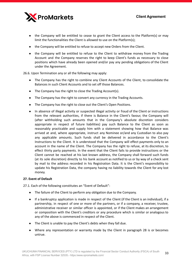

- the Company will be entitled to cease to grant the Client access to the Platform(s) or may limit the functionalities the Client is allowed to use on the Platform(s);
- the Company will be entitled to refuse to accept new Orders from the Client.
- the Company will be entitled to refuse to the Client to withdraw money from the Trading Account and the Company reserves the right to keep Client's funds as necessary to close positions which have already been opened and/or pay any pending obligations of the Client under the Agreement.

26.6. Upon Termination any or all the following may apply:

- The Company has the right to combine any Client Accounts of the Client, to consolidate the Balances in such Client Accounts and to set off those Balances.
- The Company has the right to close the Trading Account(s).
- The Company has the right to convert any currency in the Trading Accounts.
- The Company has the right to close out the Client's Open Positions.
- In absence of illegal activity or suspected illegal activity or fraud of the Client or instructions from the relevant authorities, if there is Balance in the Client's favour, the Company will (after withholding such amounts that in the Company's absolute discretion considers appropriate in respect of future liabilities) pay such Balance to the Client as soon as reasonably practicable and supply him with a statement showing how that Balance was arrived at and, where appropriate, instruct any Nominee or/and any Custodian to also pay any applicable amounts. Such funds shall be delivered in accordance to the Client's Instructions to the Client. It is understood that the Company will effect payments only to an account in the name of the Client. The Company has the right to refuse, at its discretion, to effect thirty party payments. In the event that the Client fails to provide instructions or the Client cannot be reached at his last known address, the Company shall forward such funds (at its sole discretion) directly to his bank account as notified to us or by way of a check sent by mail to the address recorded in his Registration Data. It is the Client's responsibility to update his Registration Data, the company having no liability towards the Client for any lost money.

# **27. Event of Default**

27.1. Each of the following constitutes an "Event of Default":

- The failure of the Client to perform any obligation due to the Company.
- If a bankruptcy application is made in respect of the Client (if the Client is an individual), if a partnership, in respect of one or more of the partners, or if a company, a receiver, trustee, administrative receiver or similar officer is appointed, or if the Client makes an arrangement or composition with the Client's creditors or any procedure which is similar or analogous to any of the above is commenced in respect of the Client.
- The Client is unable to pay the Client's debts when they fall due.
- Where any representation or warranty made by the Client in paragraph 28 is or becomes untrue.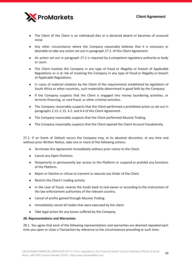

- The Client (if the Client is an individual) dies or is declared absent or becomes of unsound mind.
- Any other circumstance where the Company reasonably believes that it is necessary or desirable to take any action set out in paragraph 27.2. of this Client Agreement.
- An action set out in paragraph 27.2 is required by a competent regulatory authority or body or court.
- The Client involves the Company in any type of fraud or illegality or breach of Applicable Regulations or is at risk of involving the Company in any type of fraud or illegality or breach of Applicable Regulations.
- In cases of material violation by the Client of the requirements established by legislation of South Africa or other countries, such materiality determined in good faith by the Company.
- If the Company suspects that the Client is engaged into money laundering activities, or terrorist financing, or card fraud, or other criminal activities.
- The Company reasonably suspects that the Client performed a prohibited action as set out in paragraphs 2.13.-2.15, 4.2. and 4.4 of this Client Agreement.
- The Company reasonably suspects that the Client performed Abusive Trading.
- The Company reasonably suspects that the Client opened the Client Account fraudulently.

27.2. If an Event of Default occurs the Company may, at its absolute discretion, at any time and without prior Written Notice, take one or more of the following actions:

- Terminate this Agreement immediately without prior notice to the Client.
- Cancel any Open Positions.
- Temporarily or permanently bar access to the Platform or suspend or prohibit any functions of the Platform.
- Reject or Decline or refuse to transmit or execute any Order of the Client.
- Restrict the Client's trading activity.
- In the case of fraud, reverse the funds back to real owner or according to the instructions of the law enforcement authorities of the relevant country.
- Cancel of profits gained through Abusive Trading.
- Immediately cancel all trades that were executed by the client.
- Take legal action for any losses suffered by the Company.

#### **28. Representations and Warranties**

28.1. You agree that each of the following representations and warranties are deemed repeated each time you open or close a Transaction by reference to the circumstances prevailing at such time: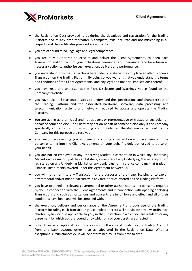

- the Registration Data provided to us during the download and registration for the Trading Platform and at any time thereafter is complete, true, accurate and not misleading in all respects and the certificates provided are authentic.
- you are of sound mind, legal age and legal competence.
- you are duly authorized to execute and deliver the Client Agreements, to open each Transaction and to perform your obligations hereunder and thereunder and have taken all necessary action to authorize such execution, delivery and performance.
- you understand how the Transactions hereunder operate before you place an offer to open a Transaction on the Trading Platform. By doing so, you warrant that you understand the terms and conditions of the Client Agreements, and any legal and financial implications thereof.
- you have read and understands the Risks Disclosure and Warnings Notice found on the Company's Website.
- you have taken all reasonable steps to understand the specifications and characteristics of the Trading Platform and the associated hardware, software, data processing and telecommunication systems and networks required to access and operate the Trading Platform.
- You are acting as a principal and not as agent or representative or trustee or custodian on behalf of someone else. The Client may act on behalf of someone else only if the Company specifically consents to this in writing and provided all the documents required by the Company for this purpose are received.
- any person representing you in opening or closing a Transaction will have been, and the person entering into the Client Agreements on your behalf is duly authorized to do so on your behalf.
- you are not an employee of any Underlying Market, a corporation in which any Underlying Market owns a majority of the capital stock, a member of any Underlying Market and/or firm registered on any Underlying Market or any bank, trust or insurance company that trades in Financial Instruments covered under this Agreement between us.
- you will not enter into any Transaction for the purposes of arbitrage, Scalping or to exploit any temporal and/or minor inaccuracy in any rate or price offered on the Trading Platform.
- you have obtained all relevant governmental or other authorizations and consents required by you in connection with the Client Agreements and in connection with opening or closing Transactions and such authorizations and consents are in full force and effect and all of their conditions have been and will be complied with.
- the execution, delivery and performance of the Agreement and your use of the Trading Platform including each Transaction you complete thereto will not violate any law, ordinance, charter, by-law or rule applicable to you, in the jurisdiction in which you are resident, or any agreement by which you are bound or by which any of your assets are affected.
- other than in exceptional circumstances you will not send funds to your Trading Account from any bank account other than as stipulated in the Registration Data. Whether exceptional circumstances exist will be determined by us from time to time.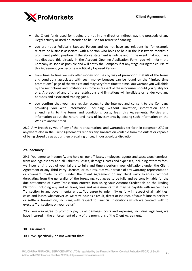

- the Client funds used for trading are not in any direct or indirect way the proceeds of any illegal activity or used or intended to be used for terrorist financing.
- you are not a Politically Exposed Person and do not have any relationship (for example relative or business associate) with a person who holds or held in the last twelve months a prominent public position. If the above statement is untrue and in the event that you have not disclosed this already in the Account Opening Application Form, you will inform the Company as soon as possible and will notify the Company if at any stage during the course of this Agreement you become a Politically Exposed Person.
- from time to time we may offer money bonuses by way of promotion. Details of the terms and conditions associated with such money bonuses can be found on the "limited time promotions" page of the website and may vary from time to time. You warrant you will abide by the restrictions and limitations in force in respect of these bonuses should you qualify for one. A breach of any of these restrictions and limitations will invalidate or render void any bonuses and associated trading gains.
- you confirm that you have regular access to the internet and consent to the Company providing you with information, including, without limitation, information about amendments to the terms and conditions, costs, fees, this Agreements, Policies and information about the nature and risks of investments by posting such information on the Website and/or email.

28.2. Any breach by you of any of the representations and warranties set forth in paragraph 27.2 or anywhere else in the Client Agreements renders any Transaction voidable from the outset or capable of being closed by us at our then prevailing prices, in our absolute discretion.

# **29. Indemnity**

29.1. You agree to indemnify, and hold us, our affiliates, employees, agents and successors harmless, from and against any and all liabilities, losses, damages, costs and expenses, including attorney fees, we incur arising out of your failure to fully and timely perform your obligations under the Client Agreement or any Third Party Licenses, or as a result of your breach of any warranty, representation or covenant made by you under the Client Agreement or any Third Party Licenses. Without derogating from the generality of the foregoing, you agree to be fully and personally liable for the due settlement of every Transaction entered into using your Account Credentials on the Trading Platform, including any and all taxes, fees and assessments that may be payable with respect to a Transaction to any governmental entity. You agree to indemnify us fully in respect of all liabilities, costs and losses whatsoever as we may incur as a result, direct or indirect, of your failure to perform or settle a Transaction, including with respect to Financial Institutions which we contract with to execute Transactions on your behalf.

29.2. You also agree to promptly pay us all damages, costs and expenses, including legal fees, we have incurred in the enforcement of any of the provisions of the Client Agreement.

#### **30. Disclaimers**

30.1. We, specifically, do not warrant that: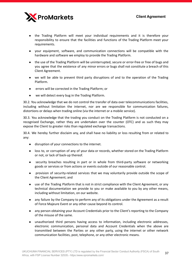

- the Trading Platform will meet your individual requirements and it is therefore your responsibility to ensure that the facilities and functions of the Trading Platform meet your requirements.
- your equipment, software, and communication connections will be compatible with the hardware and software we employ to provide the Trading Platform.
- the use of the Trading Platform will be uninterrupted, secure or error-free or free of bugs and you agree that the existence of any minor errors or bugs shall not constitute a breach of this Client Agreement.
- we will be able to prevent third party disruptions of and to the operation of the Trading Platform.
- errors will be corrected in the Trading Platform; or
- we will detect every bug in the Trading Platform.

30.2. You acknowledge that we do not control the transfer of data over telecommunications facilities, including without limitation the internet, nor are we responsible for communication failures, distortions or delays when trading online (via the internet or a mobile service).

30.3. You acknowledge that the trading you conduct on the Trading Platform is not conducted on a recognised Exchange, rather they are undertaken over the counter (OTC) and as such they may expose the Client to greater risks than regulated exchange transactions.

30.4. We hereby further disclaim any, and shall have no liability or loss resulting from or related to any:

- disruption of your connections to the internet.
- loss to, or corruption of any of your data or records, whether stored on the Trading Platform or not, or lack of back-up thereof.
- security breaches resulting in part or in whole from third-party software or networking goods or services or from actions or events outside of our reasonable control.
- provision of security-related services that we may voluntarily provide outside the scope of the Client Agreement; and
- use of the Trading Platform that is not in strict compliance with the Client Agreement, or any technical documentation we provide to you or make available to you by any other means, including without limitation, on our website.
- any failure by the Company to perform any of its obligations under the Agreement as a result of Force Majeure Event or any other cause beyond its control.
- any person obtaining your Account Credentials prior to the Client's reporting to the Company of the misuse of the same.
- unauthorized third persons having access to information, including electronic addresses, electronic communication, personal data and Account Credentials when the above are transmitted between the Parties or any other party, using the internet or other network communication facilities, post, telephone, or any other electronic means.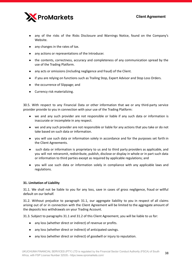

- any of the risks of the Risks Disclosure and Warnings Notice, found on the Company's Website.
- any changes in the rates of tax.
- any actions or representations of the Introducer.
- the contents, correctness, accuracy and completeness of any communication spread by the use of the Trading Platform.
- any acts or omissions (including negligence and fraud) of the Client.
- if you are relying on functions such as Trailing Stop, Expert Advisor and Stop Loss Orders.
- the occurrence of Slippage; and
- Currency risk materializing.

30.5. With respect to any Financial Data or other information that we or any third-party service provider provide to you in connection with your use of the Trading Platform:

- we and any such provider are not responsible or liable if any such data or information is inaccurate or incomplete in any respect.
- we and any such provider are not responsible or liable for any actions that you take or do not take based on such data or information.
- you will use such data or information solely in accordance and for the purposes set forth in the Client Agreements.
- such data or information is proprietary to us and to third party providers as applicable, and you will not retransmit, redistribute, publish, disclose or display in whole or in part such data or information to third parties except as required by applicable regulations; and
- you will use such data or information solely in compliance with any applicable laws and regulations.

# **31. Limitation of Liability**

31.1. We shall not be liable to you for any loss, save in cases of gross negligence, fraud or willful default on our behalf.

31.2. Without prejudice to paragraph 31.1, our aggregate liability to you in respect of all claims arising out of or in connection with the Client Agreement will be limited to the aggregate amount of the deposits less withdrawals on your Trading Account.

31.3. Subject to paragraphs 31.1 and 31.2 of this Client Agreement, you will be liable to us for:

- any loss (whether direct or indirect) of revenue or profits.
- any loss (whether direct or indirect) of anticipated savings.
- any loss (whether direct or indirect) of goodwill or injury to reputation.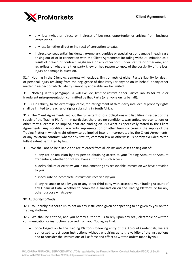

- any loss (whether direct or indirect) of business opportunity or arising from business interruption.
- any loss (whether direct or indirect) of corruption to data.
- indirect, consequential, incidental, exemplary, punitive or special loss or damage in each case arising out of or in connection with the Client Agreements including without limitation as a result of breach of contract, negligence or any other tort, under statute or otherwise, and regardless of whether either party knew or had reason to know of the possibility of the loss, injury or damage in question.

31.4. Nothing in the Client Agreements will exclude, limit or restrict either Party's liability for death or personal injury resulting from the negligence of that Party (or anyone on its behalf) or any other matter in respect of which liability cannot by applicable law be limited.

31.5. Nothing in this paragraph 31 will exclude, limit or restrict either Party's liability for fraud or fraudulent misrepresentation committed by that Party (or anyone on its behalf).

31.6. Our liability, to the extent applicable, for infringement of third-party intellectual property rights shall be limited to breaches of rights subsisting in South Africa.

31.7. The Client Agreements set out the full extent of our obligations and liabilities in respect of the supply of the Trading Platform. In particular, there are no conditions, warranties, representations or other terms, express or implied, that are binding on us except as specifically stated in the Client Agreements. Any condition, warranty, representation or other term concerning the supply of the Trading Platform which might otherwise be implied into, or incorporated in, the Client Agreements, or any collateral contract, whether by statute, common law or otherwise, is hereby excluded to the fullest extent permitted by law.

31.8. We shall not be held liable and are released from all claims and losses arising out of:

a. any act or omission by any person obtaining access to your Trading Account or Account Credentials, whether or not you have authorized such access.

b. delay, failure or error by you in implementing any reasonable instruction we have provided to you.

c. inaccurate or incomplete instructions received by you.

d. any reliance or use by you or any other third party with access to your Trading Account of any Financial Data, whether to complete a Transaction on the Trading Platform or for any other purpose whatsoever.

#### **32. Authority to Trade**

32.1. You hereby authorize us to act on any instruction given or appearing to be given by you on the Trading Platform.

32.2. We shall be entitled, and you hereby authorize us to rely upon any oral, electronic or written communication or instruction received from you. You agree that:

● once logged on to the Trading Platform following entry of the Account Credentials, we are authorized to act upon instructions without enquiring as to the validity of the instructions and to consider the instructions of like force and effect as written orders made by you.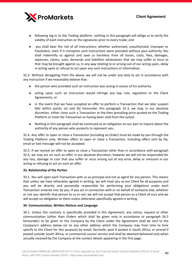

- following log-in to the Trading platform, nothing in this paragraph will oblige us to verify the validity of each instruction or the signatures prior to every trade; and
- you shall bear the risk of all instructions, whether authorized, unauthorized, improper or fraudulent, even if it transpires such instructions were provided without your authority. You shall indemnify us against and save us harmless from all losses, costs, fees, damages, expenses, claims, suits, demands and liabilities whatsoever that we may suffer or incur or that may be brought against us, in any way relating to or arising out of our acting upon, delay in acting upon or refusal to act upon any such instructions or information.

32.3. Without derogating from the above, we will not be under any duty to act in accordance with any instruction if we reasonably believe that:

- the person who provided such an instruction was acting in excess of his authority.
- acting upon such an instruction would infringe any law, rule, regulation or the Client Agreements; or
- in the event that we have accepted an offer to perform a Transaction that we later suspect falls within points (a) and (b) hereunder this paragraph 32.3, we may, in our absolute discretion, either close such a Transaction at the then prevailing price quoted on the Trading Platform or treat the Transaction as having been void from the outset.
- Nothing in this paragraph shall be construed as an obligation on our part to inquire about the authority of any person who purports to represent you.

32.4. Any offer to open or close a Transaction (including an Order) must be made by you through the Trading Platform only. Written offers to open or close a Transaction, including offers sent by fax, email or text message will not be accepted.

32.5. If we receive an offer to open or close a Transaction other than in accordance with paragraph 32.4, we may act on such an offer, in our absolute discretion, however we will not be responsible for any loss, damage or cost that you suffer or incur arising out of any error, delay or omission in our acting or refusing to act on such an offer.

# **33. Relationship of the Parties**

33.1. You will open each Transaction with us as principal and not as agent for any person. This means that unless we have otherwise agreed in writing, we will treat you as our Client for all purposes and you will be directly and personally responsible for performing your obligations under each Transaction entered into by you. If you act in connection with or on behalf of someone else, whether or not you identify that person to us or not, we will not accept that person as a Client of ours and we will accept no obligation to them unless otherwise specifically agreed in writing.

# **34. Communication, Written Notices and Language**

34.1. Unless the contrary is specifically provided in this Agreement, any notice, request or other communication (other than Orders which shall be given only in accordance to paragraph 34.2 hereunder) to be given to the Company by the Client under the Agreement shall be sent to the Company's address below (or to any other address which the Company may from time to time specify to the Client for this purpose) by email, facsimile, post if posted in South Africa, or airmail if posted outside South Africa, or commercial courier service and shall be deemed delivered only when actually received by the Company at the contact details appearing in the first page.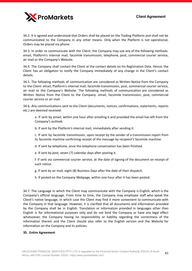

34.2. It is agreed and understood that Orders shall be placed on the Trading Platform and shall not be communicated to the Company in any other means. Only when the Platform is not operational, Orders may be placed via phone.

34.3. In order to communicate with the Client, the Company may use any of the following methods: email, Platform's internal mail, facsimile transmission, telephone, post, commercial courier service, air mail or the Company's Website.

34.4. The Company shall contact the Client at the contact details on his Registration Data. Hence, the Client has an obligation to notify the Company immediately of any change in the Client's contact details.

34.5. The following methods of communication are considered as Written Notice from the Company to the Client: email, Platform's internal mail, facsimile transmission, post, commercial courier service, air mail or the Company's Website. The following methods of communication are considered as Written Notice from the Client to the Company: email, facsimile transmission, post, commercial courier service or air mail.

34.6. Any communications sent to the Client (documents, notices, confirmations, statements, reports etc.) are deemed received:

a. If sent by email, within one hour after emailing it and provided the email has left from the Company's outlook.

b. If sent by the Platform's internal mail, immediately after sending it.

c. If sent by facsimile transmission, upon receipt by the sender of a transmission report from its facsimile machine confirming receipt of the message by recipient's facsimile machine.

d. If sent by telephone, once the telephone conversation has been finished.

e. If sent by post, seven (7) calendar days after posting it.

f. If sent via commercial courier service, at the date of signing of the document on receipt of such notice.

g. If sent by air mail, eight (8) Business Days after the date of their dispatch.

h. If posted on the Company Webpage, within one hour after it has been posted.

34.7. The Language in which the Client may communicate with the Company is English, which is the Company's official language. From time to time, the Company may employee staff who speak the Client's native language, in which case the Client may find it more convenient to communicate with the Company in that language. However, it is clarified that all documents and information provided by the Company shall be in English. Translation or information provided in languages other than English is for informational purposes only and do not bind the Company or have any legal effect whatsoever, the Company having no responsibility or liability regarding the correctness of the information therein and the Client should also refer to the English version and the Website for information on the Company and its policies.

#### **35. Entire Agreement**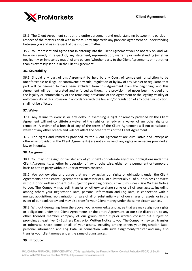

35.1. The Client Agreement set out the entire agreement and understanding between the parties in respect of the matters dealt with in them. They supersede any previous agreement or understanding between you and us in respect of their subject matter.

35.2. You represent and agree that in entering into the Client Agreement you do not rely on, and will have no remedy in respect of, any statement, representation, warranty or understanding (whether negligently or innocently made) of any person (whether party to the Client Agreements or not) other than as expressly set out in the Client Agreement.

#### **36. Severability**

36.1. Should any part of this Agreement be held by any Court of competent jurisdiction to be unenforceable or illegal or contravene any rule, regulation or by law of any Market or regulator, that part will be deemed to have been excluded from this Agreement from the beginning, and this Agreement will be interpreted and enforced as though the provision had never been included and the legality or enforceability of the remaining provisions of the Agreement or the legality, validity or enforceability of this provision in accordance with the law and/or regulation of any other jurisdiction, shall not be affected.

#### **37. Waiver**

37.1. Any failure to exercise or any delay in exercising a right or remedy provided by the Client Agreement will not constitute a waiver of the right or remedy or a waiver of any other rights or remedies. A waiver of a breach of any of the terms of the Client Agreement will not constitute a waiver of any other breach and will not affect the other terms of the Client Agreement.

37.2. The rights and remedies provided by the Client Agreement are cumulative and (except as otherwise provided in the Client Agreements) are not exclusive of any rights or remedies provided at law or in equity.

#### **38. Assignment**

38.1. You may not assign or transfer any of your rights or delegate any of your obligations under the Client Agreements, whether by operation of law or otherwise, either on a permanent or temporary basis to a third party without our prior written consent.

38.2. You acknowledge and agree that we may assign our rights or obligations under the Client Agreements or the entire Agreement to a successor of all or substantially all of our business or assets without prior written consent but subject to providing previous five (5) Business Days Written Notice to you. The Company may sell, transfer or otherwise share some or all of your assets, including among others your Registration Data, personal information and Log Data, in connection with a merger, acquisition, reorganization or sale of all or substantially all of our shares or assets, or in the event of our bankruptcy and may also transfer your Client money under the same circumstances.

38.3. Without derogating from the above, you acknowledge and agree that we may assign our rights or obligations under the Client Agreements or the entire Agreement, at our sole discretion, to any other licensed member company of our group, without prior written consent but subject to providing at least five (5) Business Days prior Written Notice to you. The Company may sell, transfer or otherwise share some or all of your assets, including among others your Registration Data, personal information and Log Data, in connection with such assignment/transfer and may also transfer your client money under the same circumstances.

#### **39. Introducer**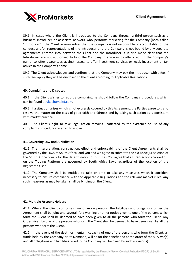

39.1. In cases where the Client is introduced to the Company through a third person such as a business introducer or associate network who performs marketing for the Company (both called "Introducer"), the Client acknowledges that the Company is not responsible or accountable for the conduct and/or representations of the Introducer and the Company is not bound by any separate agreements entered into between the Client and the Introducer. It is also made clear that the Introducers are not authorised to bind the Company in any way, to offer credit in the Company's name, to offer guarantees against losses, to offer investment services or legal, investment or tax advice in the Company's name.

39.2. The Client acknowledges and confirms that the Company may pay the Introducer with a fee. If such fees apply they will be disclosed to the Client according to Applicable Regulations.

# **40. Complaints and Disputes**

40.1. If the Client wishes to report a complaint, he should follow the Company's procedures, which can be found at [ukuchumaltd.com](http://ukuchumaltd.com/).

40.2. If a situation arises which is not expressly covered by this Agreement, the Parties agree to try to resolve the matter on the basis of good faith and fairness and by taking such action as is consistent with market practice.

40.3. The Client's right to take legal action remains unaffected by the existence or use of any complaints procedures referred to above.

# **41. Governing Law and Jurisdiction**

41.1. The interpretation, construction, effect and enforceability of the Client Agreements shall be governed by the Laws of South Africa, and you and we agree to submit to the exclusive jurisdiction of the South Africa courts for the determination of disputes. You agree that all Transactions carried out on the Trading Platform are governed by South Africa Laws regardless of the location of the Registered User.

41.2. The Company shall be entitled to take or omit to take any measures which it considers necessary to ensure compliance with the Applicable Regulations and the relevant market rules. Any such measures as may be taken shall be binding on the Client.

# **42. Multiple Account Holders**

42.1. Where the Client comprises two or more persons, the liabilities and obligations under the Agreement shall be joint and several. Any warning or other notice given to one of the persons which form the Client shall be deemed to have been given to all the persons who form the Client. Any Order given by one of the persons who form the Client shall be deemed to have been given by all the persons who form the Client.

42.2. In the event of the death or mental incapacity of one of the persons who form the Client, all funds held by the Company or its Nominee, will be for the benefit and at the order of the survivor(s) and all obligations and liabilities owed to the Company will be owed by such survivor(s).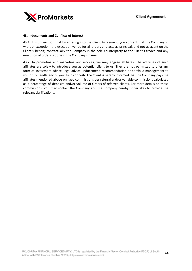

#### **43. Inducements and Conflicts of Interest**

43.1. It is understood that by entering into the Client Agreement, you consent that the Company is, without exception, the execution venue for all orders and acts as principal, and not as agent on the Client's behalf; contractually the Company is the sole counterparty to the Client's trades and any execution of orders is done in the Company's name.

43.2. In promoting and marketing our services, we may engage affiliates. The activities of such affiliates are solely to introduce you as potential client to us. They are not permitted to offer any form of investment advice, legal advice, inducement, recommendation or portfolio management to you or to handle any of your funds or cash. The Client is hereby informed that the Company pays the affiliates mentioned above on fixed commissions per referral and/or variable commissions calculated as a percentage of deposits and/or volume of Orders of referred clients. For more details on these commissions, you may contact the Company and the Company hereby undertakes to provide the relevant clarifications.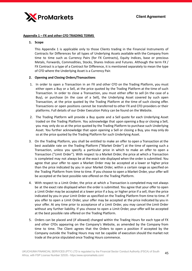

#### **Appendix 1 – FX and other CFD TRADING TERMS**

#### **1. Scope**

This Appendix 1 is applicable only to those Clients trading in the Financial Instruments of Contracts for Differences for all types of Underlying Assets available with the Company from time to time such as Currency Pairs (for FX Contracts), Equity Indices, base or precious Metals, Forwards, Commodities, Stocks, Shares Indices and Futures. Although the term FX / FX Contract is a type of a Contract for Difference, it is mentioned separately to mean the type of CFD where the Underlying Asset is a Currency Pair.

#### **2. Opening and Closing Orders/Transactions**

- 1. In order to open a Transaction in an FX and other CFD on the Trading Platform, you must either open a Buy or a Sell, at the price quoted by the Trading Platform at the time of such Transaction. In order to close a Transaction, you must either offer to sell (in the case of a Buy), or purchase (in the case of a Sell), the Underlying Asset covered by such open Transaction, at the price quoted by the Trading Platform at the time of such closing offer. Transactions or open positions cannot be transferred to other FX and CFD providers or their platforms. Full details of our Order Execution Policy can be found on the Website.
- 2. The Trading Platform will provide a Buy quote and a Sell quote for each Underlying Asset traded on the Trading Platform. You acknowledge that upon opening a Buy or closing a Sell, you may only do so at the price quoted by the Trading Platform to purchase such Underlying Asset. You further acknowledge that upon opening a Sell or closing a Buy, you may only do so at the price quoted by the Trading Platform for such Underlying Asset.
- 3. On the Trading Platform, you shall be entitled to make an offer to open a Transaction at the best available rate on the Trading Platform ("Market Order") at the time of opening such a Transaction, unless you specify a particular price in which to make an offer to open a Transaction ("Limit Order"). With respect to a Market Order, the price at which a Transaction is completed may not always be at the exact rate displayed when the order is submitted. You agree that your offer to open a Market Order may be accepted at a lower or higher price than the price indicated by you in your Market Order, within a certain range as specified on the Trading Platform from time to time. If you choose to open a Market Order, your offer will be accepted at the best possible rate offered on the Trading Platform.
- 4. With respect to a Limit Order, the price at which a Transaction is completed may not always be at the exact rate displayed when the order is submitted. You agree that your offer to open a Limit Order may be accepted at a lower price if a buy, or higher price if a sell, than the price indicated by you in your Limit Order as specified on the Trading Platform from time to time. If you offer to open a Limit Order, your offer may be accepted at the price indicated by you in your offer. At any time prior to acceptance of a Limit Order, you may cancel the Limit Order without any further liability. If you choose to open a Limit Order, your offer will be accepted at the best possible rate offered on the Trading Platform.
- 5. Orders can be placed and (if allowed) changed within the Trading Hours for each type of FX and other CFDs appearing on the Company's Website, as amended by the Company from time to time. The Client agrees that the Orders to open a position if accepted by the Company outside the Trading Hours may not be capable of execution should the market not trade at the price stipulated once Trading Hours commence.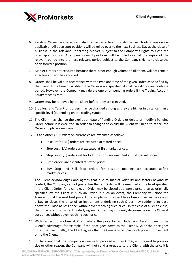

- 6. Pending Orders, not executed, shall remain effective through the next trading session (as applicable). All open spot positions will be rolled over to the next Business Day at the close of business in the relevant Underlying Market, subject to the Company's rights to close the open spot position. Any open forward positions will be rolled over at the expiry of the relevant period into the next relevant period subject to the Company's rights to close the open forward position.
- 7. Market Orders not executed because there is not enough volume to fill them, will not remain effective and will be cancelled.
- 8. Orders shall be valid in accordance with the type and time of the given Order, as specified by the Client. If the time of validity of the Order is not specified, it shall be valid for an indefinite period. However, the Company may delete one or all pending orders if the Trading Account Equity reaches zero.
- 9. Orders may be removed by the Client before they are executed.
- 10. Stop loss and Take Profit orders may be changed as long as they are higher in distance than a specific level (depending on the trading symbol).
- 11. The Client may change the expiration date of Pending Orders or delete or modify a Pending Order before it is executed. In order to change the expiry the Client will need to cancel the Order and place a new one.
- 12. FX and other CFD Orders on currencies are executed as follows:
	- Take Profit (T/P) orders are executed at stated prices.
	- Stop Loss (S/L) orders are executed at first market prices.
	- Stop Loss (S/L) orders set for lock positions are executed at first market prices.
	- Limit orders are executed at stated prices.
	- Buy Stop and Sell Stop orders for position opening are executed at first market prices.
- 13. The Client acknowledges and agrees that due to market volatility and factors beyond its control, the Company cannot guarantee that an Order will be executed at the level specified in the Client Order, for example, an Order may be closed at a worse price than as originally specified by the Client in such an Order. In such an event, the Company will close the Transaction at the next best price. For example, with respect to a Close at Loss, in the case of a Buy to close, the price of an Instrument underlying such Order may suddenly increase above the Close at Loss price, without ever reaching such price. In the case of a Sell to close, the price of an Instrument underlying such Order may suddenly decrease below the Close at Loss price, without ever reaching such price.
- 14. With respect to a Close at Profit where the price for an Underlying Asset moves to the Client's advantage (for example, if the price goes down as the Client Buys or the price goes up as the Client Sells), the Client agrees that the Company can pass such price improvement on to the Client.
- 15. In the event that the Company is unable to proceed with an Order, with regard to price or size or other reason, the Company will not send a re-quote to the Client (with the price it is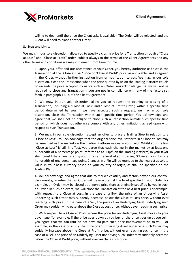

willing to deal until the price the Client asks is available). The Order will be rejected, and the Client will need to place another Order.

#### **3. Stop and Limits**

We may, in our sole discretion, allow you to specify a closing price for a Transaction through a "Close at Loss" and "Close at Profit" order, subject always to the terms of the Client Agreements and any other terms and conditions we may implement from time to time.

1. Upon your offer and our acceptance of your Order, you hereby authorize us to close the Transaction at the "Close at Loss" price or "Close at Profit" price, as applicable, and as agreed in the Order, without further instruction from or notification to you. We may, in our sole discretion, close the Transaction when the price quoted by us on the Trading Platform equals or exceeds the price accepted by us for such an Order. You acknowledge that we will not be required to close any Transaction if you are not in compliance with any of the factors set forth in paragraph 15.14 of this Client Agreement.

2. We may, in our sole discretion, allow you to request the opening or closing of a Transaction, including a "Close at Loss" and "Close at Profit" Order, within a specific time period determined by you. If we have accepted such a request, we may in our sole discretion, close the Transaction within such specific time period. You acknowledge and agree that we shall not be obliged to close such a Transaction outside such specific time period or which does not otherwise comply with any other limitations agreed upon with respect to such Transaction.

3. We may, in our sole discretion, accept an offer to place a Trailing Stop in relation to a "Close at Loss". You acknowledge that the original price level set forth in a Close at Loss may be amended as the market on the Trading Platform moves in your favor. Whilst your trailing "Close at Loss" is still in effect, you agree that each change in the market by at least one hundredth of a percentage point (referred to as "Pips" on the Trading Platform) in your favor shall constitute a new offer by you to raise the level of your trailing "Close at Loss" by one hundredth of one percentage point. Changes in a Pip will be rounded to the nearest absolute value in your base currency based on your country of origin, as shall be specified on the Trading Platform.

4. You acknowledge and agree that due to market volatility and factors beyond our control, we cannot guarantee that an Order will be executed at the level specified in your Order, for example, an Order may be closed at a worse price than as originally specified by you in such an Order. In such an event, we will close the Transaction at the next best price. For example, with respect to a Close at Loss, in the case of a Buy, the price of an Underlying Asset underlying such Order may suddenly decrease below the Close at Loss price, without ever reaching such price. In the case of a Sell, the price of an Underlying Asset underlying such Order may suddenly increase above the Close at Loss price, without ever reaching such price.

5. With respect to a Close at Profit where the price for an Underlying Asset moves to your advantage (for example, if the price goes down as you buy or the price goes up as you sell), you agree that we can (but do not have to) pass such price improvement on to you. For example, in the case of a Buy, the price of an Underlying Asset underlying such Order may suddenly increase above the Close at Profit price, without ever reaching such price. In the case of a Sell, the price of an Underlying Asset underlying such Order may suddenly decrease below the Close at Profit price, without ever reaching such price.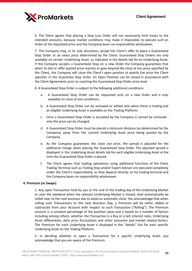

6. The Client agrees that placing a Stop Loss Order will not necessarily limit losses to the intended amounts, because market conditions may make it impossible to execute such an Order at the stipulated price and the Company bears no responsibility whatsoever.

7. The Company may, in its sole discretion, accept the Client's offer to place a Guaranteed Stop Order at an exact price determined by the Client. Guaranteed Stop Orders are only available on certain Underlying Asset, as indicated in the details tab for an Underlying Asset. If the Company accepts a Guaranteed Stop on a new Order the Company guarantees that when its bid or offer quoted price reaches or goes beyond the close at loss price specified by the Client, the Company will close the Client's open position at exactly the price the Client specifies in the Guarantee Stop Order. An Open Position can be closed in accordance with the Client Agreements prior to reaching the Guaranteed Stop Order price level.

8. A Guaranteed Stop Order is subject to the following additional conditions:

- a. A Guaranteed Stop Order can be requested only on a new Order and is only available on close at loss conditions.
- b. A Guaranteed Stop Order can be activated or edited only when there is trading and an eligible Underlying Asset is available on the Trading Platform;
- c. Once a Guaranteed Stop Order is accepted by the Company it cannot be removed only the price can be changed.
- d. A Guaranteed Stop Order must be placed a minimum distance (as determined by the Company) away from the current Underlying Asset price being quoted by the Company.
- e. As the Company guarantees the close out price, the spread is adjusted for the additional charge when placing the Guaranteed Stop Order. The adjusted spread is displayed in the Underlying Asset details tab for each eligible Underlying Asset at the time the Guaranteed Stop Order is placed.
- f. The Client agrees that trading operations using additional functions of the Client Trading Terminal such as Trailing Stop and/or Expert Advisor are executed completely under the Client's responsibility, as they depend directly on his trading terminal and the Company bears no responsibility whatsoever.

# **4. Premium (or Swaps)**

1. Any open Transaction held by you at the end of the trading day of the Underlying Market or over the weekend when the relevant Underlying Market is closed, shall automatically be rolled over to the next business day to avoid an automatic close. You acknowledge that when rolling such Transactions to the next Business Day, a Premium will be either added or subtracted from your Account with respect to such Transaction ("Rolling"). The Premium amount is a constant percentage of the position value and is based on a number of factors including among others, whether the Transaction is a Buy or a Sell, interest rates, Underlying Asset differentials, daily price fluctuations and other economic and market related factors. The Premium for each Underlying Asset is displayed in the "details" link for each specific Underlying Asset on the Trading Platform.

2. In deciding whether to open a Transaction for a specific Underlying Asset, you acknowledge that you are aware of the Premium.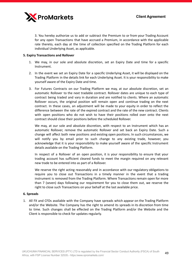

3. You hereby authorize us to add or subtract the Premium to or from your Trading Account for any open Transactions that have accrued a Premium, in accordance with the applicable rate thereto, each day at the time of collection specified on the Trading Platform for each individual Underlying Asset, as applicable.

# **5. Expiry Transactions and Rollover**

- 1. We may, in our sole and absolute discretion, set an Expiry Date and time for a specific Instrument.
- 2. In the event we set an Expiry Date for a specific Underlying Asset, it will be displayed on the Trading Platform in the details link for each Underlying Asset. It is your responsibility to make yourself aware of the Expiry Date and time.
- 3. For Futures Contracts on our Trading Platform we may, at our absolute discretion, set an automatic Rollover to the next tradable contract. Rollover dates are unique to each type of contract being traded and vary in duration and are notified to clients. Where an automatic Rollover occurs, the original position will remain open and continue trading on the next contract. In these cases, an adjustment will be made to your equity in order to reflect the difference between the rate of the expired contract and the rate of the new contract. Clients with open positions who do not wish to have their positions rolled over onto the next contract should close their positions before the scheduled Rollover.

We may, at our sole and absolute discretion, with respect to an Instrument which has an automatic Rollover, remove the automatic Rollover and set back an Expiry Date. Such a change will affect both new positions and existing open positions. In such circumstances, we will notify you by email prior to such change to any existing trade, however, you acknowledge that it is your responsibility to make yourself aware of the specific Instrument details available on the Trading Platform.

In respect of a Rollover of an open position, it is your responsibility to ensure that your trading account has sufficient cleared funds to meet the margin required on any relevant new trade to be entered into as part of a Rollover.

We reserve the right acting reasonably and in accordance with our regulatory obligations to require you to close out Transactions in a timely manner in the event that a trading instrument is removed from the Trading Platform. Where Transactions remain open for more than 7 (seven) days following our requirement for you to close them out, we reserve the right to close such Transactions on your behalf at the last available price.

# **6. Spreads**

1. All FX and CFDs available with the Company have spreads which appear on the Trading Platform and/or the Website. The Company has the right to amend its spreads in its discretion from time to time. Such changes shall be effected on the Trading Platform and/or the Website and the Client is responsible to check for updates regularly.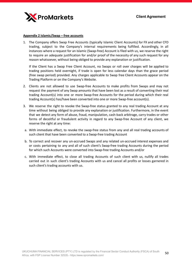

#### **Appendix 2 Islamic/Swap – free accounts**

1. The Company offers Swap Free Accounts (typically Islamic Client Accounts) for FX and other CFD trading, subject to the Company's internal requirements being fulfilled. Accordingly, in all instances where a request for an Islamic (Swap-free) Account is filed with us, we reserve the right to require an adequate justification for and/or proof of the necessity of any such request for any reason whatsoever, without being obliged to provide any explanation or justification.

If the Client has a Swap Free Client Account, no Swaps or roll over charges will be applied to trading positions held overnight, if trade is open for less calendar days than the grace period (free swap period) provided. Any charges applicable to Swap free Client Accounts appear on the Trading Platform or on the Company's Website.

- 2. Clients are not allowed to use Swap-free Accounts to make profits from Swaps and may not request the payment of any Swap amounts that have been lost as a result of converting their real trading Account(s) into one or more Swap-free Accounts for the period during which their real trading Account(s) has/have been converted into one or more Swap-free account(s).
- 3. We reserve the right to revoke the Swap-free status granted to any real trading Account at any time without being obliged to provide any explanation or justification. Furthermore, in the event that we detect any form of abuse, fraud, manipulation, cash-back arbitrage, carry trades or other forms of deceitful or fraudulent activity in regard to any Swap-free Account of any client, we reserve the right at any time:
- a. With immediate effect, to revoke the swap-free status from any and all real trading accounts of such client that have been converted to a Swap-free trading Account
- b. To correct and recover any un-accrued Swaps and any related un-accrued interest expenses and or costs pertaining to any and all of such client's Swap-free trading Accounts during the period for which such Accounts were converted into Swap-free trading Accounts and/or
- c. With immediate effect, to close all trading Accounts of such client with us, nullify all trades carried out in such client's trading Accounts with us and cancel all profits or losses garnered in such client's trading accounts with us.